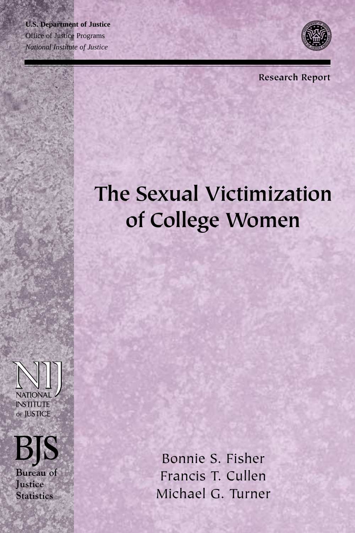**U.S. Department of Justice** Office of Justice Programs *National Institute of Justice*



**Research Report**

## **The Sexual Victimization of College Women**





**Bureau of Justice Statistics**

Bonnie S. Fisher Francis T. Cullen Michael G. Turner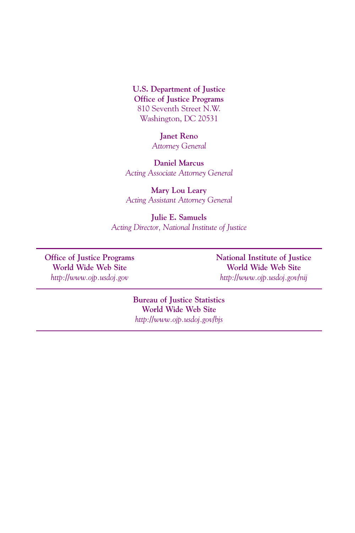**U.S. Department of Justice Office of Justice Programs** 810 Seventh Street N.W. Washington, DC 20531

> **Janet Reno** *Attorney General*

**Daniel Marcus** *Acting Associate Attorney General*

**Mary Lou Leary** *Acting Assistant Attorney General*

**Julie E. Samuels** *Acting Director, National Institute of Justice*

Office of Justice Programs National Institute of Justice World Wide Web Site<br>
http://www.ojp.usdoj.gov<br>
http://www.ojp.usdoj.gov *http://www.ojp.usdoj.gov http://www.ojp.usdoj.gov/nij*

> **Bureau of Justice Statistics World Wide Web Site** *http://www.ojp.usdoj.gov/bjs*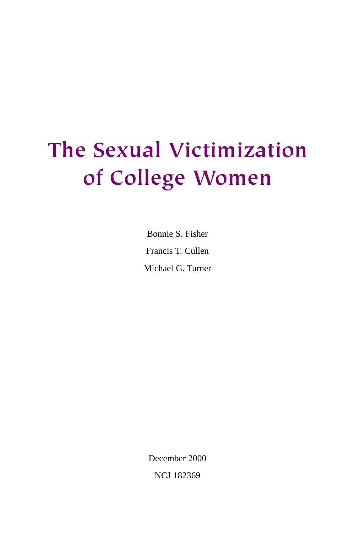# **The Sexual Victimization of College Women**

Bonnie S. Fisher Francis T. Cullen Michael G. Turner

December 2000

NCJ 182369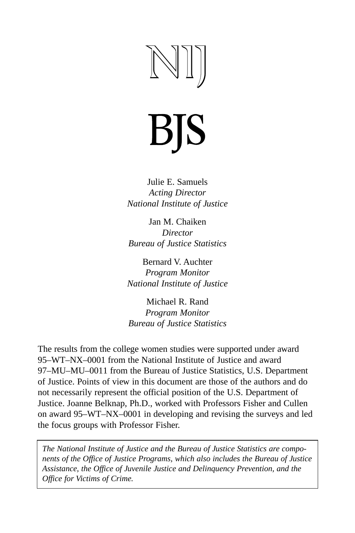BJS

Julie E. Samuels *Acting Director National Institute of Justice*

Jan M. Chaiken *Director Bureau of Justice Statistics*

Bernard V. Auchter *Program Monitor National Institute of Justice*

Michael R. Rand *Program Monitor Bureau of Justice Statistics*

The results from the college women studies were supported under award 95–WT–NX–0001 from the National Institute of Justice and award 97–MU–MU–0011 from the Bureau of Justice Statistics, U.S. Department of Justice. Points of view in this document are those of the authors and do not necessarily represent the official position of the U.S. Department of Justice. Joanne Belknap, Ph.D., worked with Professors Fisher and Cullen on award 95–WT–NX–0001 in developing and revising the surveys and led the focus groups with Professor Fisher.

*The National Institute of Justice and the Bureau of Justice Statistics are components of the Office of Justice Programs, which also includes the Bureau of Justice Assistance, the Office of Juvenile Justice and Delinquency Prevention, and the Office for Victims of Crime.*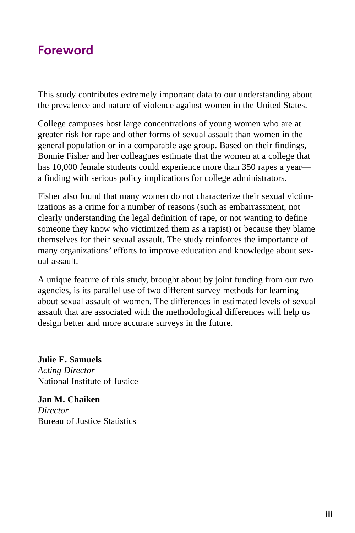#### **Foreword**

This study contributes extremely important data to our understanding about the prevalence and nature of violence against women in the United States.

College campuses host large concentrations of young women who are at greater risk for rape and other forms of sexual assault than women in the general population or in a comparable age group. Based on their findings, Bonnie Fisher and her colleagues estimate that the women at a college that has 10,000 female students could experience more than 350 rapes a year a finding with serious policy implications for college administrators.

Fisher also found that many women do not characterize their sexual victimizations as a crime for a number of reasons (such as embarrassment, not clearly understanding the legal definition of rape, or not wanting to define someone they know who victimized them as a rapist) or because they blame themselves for their sexual assault. The study reinforces the importance of many organizations' efforts to improve education and knowledge about sexual assault.

A unique feature of this study, brought about by joint funding from our two agencies, is its parallel use of two different survey methods for learning about sexual assault of women. The differences in estimated levels of sexual assault that are associated with the methodological differences will help us design better and more accurate surveys in the future.

**Julie E. Samuels** *Acting Director* National Institute of Justice

**Jan M. Chaiken** *Director* Bureau of Justice Statistics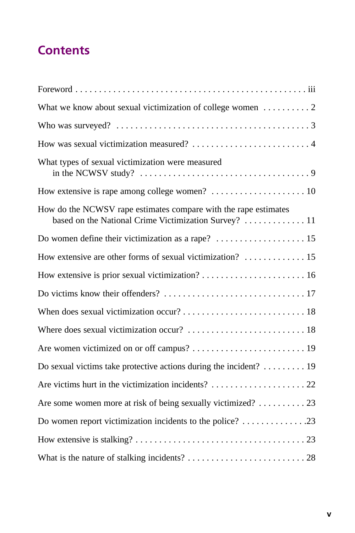#### **Contents**

| What we know about sexual victimization of college women $\dots \dots \dots 2$                                           |
|--------------------------------------------------------------------------------------------------------------------------|
|                                                                                                                          |
|                                                                                                                          |
| What types of sexual victimization were measured                                                                         |
|                                                                                                                          |
| How do the NCWSV rape estimates compare with the rape estimates<br>based on the National Crime Victimization Survey?  11 |
|                                                                                                                          |
| How extensive are other forms of sexual victimization?  15                                                               |
|                                                                                                                          |
|                                                                                                                          |
|                                                                                                                          |
|                                                                                                                          |
|                                                                                                                          |
| Do sexual victims take protective actions during the incident?  19                                                       |
|                                                                                                                          |
| Are some women more at risk of being sexually victimized? 23                                                             |
| Do women report victimization incidents to the police? 23                                                                |
|                                                                                                                          |
|                                                                                                                          |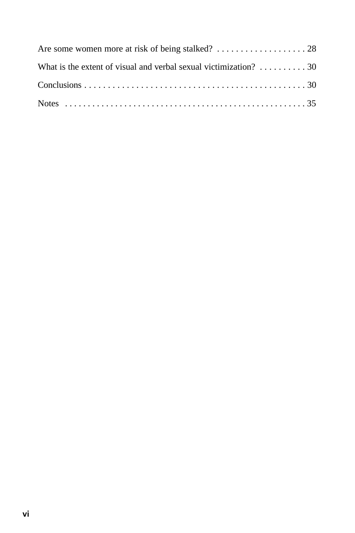| What is the extent of visual and verbal sexual victimization? $\dots \dots \dots 30$ |  |
|--------------------------------------------------------------------------------------|--|
|                                                                                      |  |
|                                                                                      |  |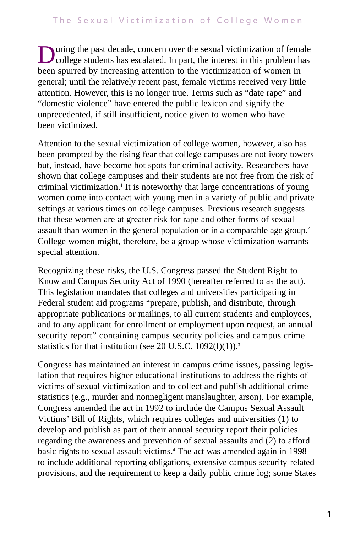During the past decade, concern over the sexual victimization of female college students has escalated. In part, the interest in this problem has been spurred by increasing attention to the victimization of women in general; until the relatively recent past, female victims received very little attention. However, this is no longer true. Terms such as "date rape" and "domestic violence" have entered the public lexicon and signify the unprecedented, if still insufficient, notice given to women who have been victimized.

Attention to the sexual victimization of college women, however, also has been prompted by the rising fear that college campuses are not ivory towers but, instead, have become hot spots for criminal activity. Researchers have shown that college campuses and their students are not free from the risk of criminal victimization.<sup>1</sup> It is noteworthy that large concentrations of young women come into contact with young men in a variety of public and private settings at various times on college campuses. Previous research suggests that these women are at greater risk for rape and other forms of sexual assault than women in the general population or in a comparable age group.<sup>2</sup> College women might, therefore, be a group whose victimization warrants special attention.

Recognizing these risks, the U.S. Congress passed the Student Right-to-Know and Campus Security Act of 1990 (hereafter referred to as the act). This legislation mandates that colleges and universities participating in Federal student aid programs "prepare, publish, and distribute, through appropriate publications or mailings, to all current students and employees, and to any applicant for enrollment or employment upon request, an annual security report" containing campus security policies and campus crime statistics for that institution (see 20 U.S.C. 1092(f)(1)).<sup>3</sup>

Congress has maintained an interest in campus crime issues, passing legislation that requires higher educational institutions to address the rights of victims of sexual victimization and to collect and publish additional crime statistics (e.g., murder and nonnegligent manslaughter, arson). For example, Congress amended the act in 1992 to include the Campus Sexual Assault Victims' Bill of Rights, which requires colleges and universities (1) to develop and publish as part of their annual security report their policies regarding the awareness and prevention of sexual assaults and (2) to afford basic rights to sexual assault victims.4 The act was amended again in 1998 to include additional reporting obligations, extensive campus security-related provisions, and the requirement to keep a daily public crime log; some States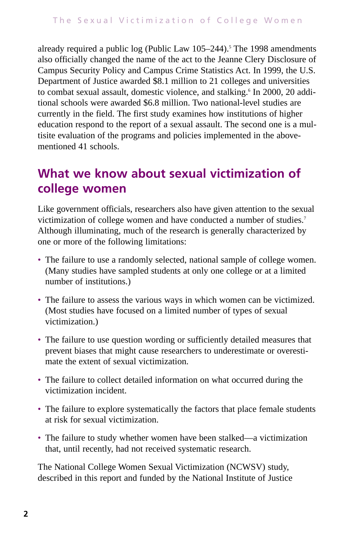already required a public  $log$  (Public Law  $105-244$ ).<sup>5</sup> The 1998 amendments also officially changed the name of the act to the Jeanne Clery Disclosure of Campus Security Policy and Campus Crime Statistics Act. In 1999, the U.S. Department of Justice awarded \$8.1 million to 21 colleges and universities to combat sexual assault, domestic violence, and stalking.<sup>6</sup> In 2000, 20 additional schools were awarded \$6.8 million. Two national-level studies are currently in the field. The first study examines how institutions of higher education respond to the report of a sexual assault. The second one is a multisite evaluation of the programs and policies implemented in the abovementioned 41 schools.

### **What we know about sexual victimization of college women**

Like government officials, researchers also have given attention to the sexual victimization of college women and have conducted a number of studies.<sup>7</sup> Although illuminating, much of the research is generally characterized by one or more of the following limitations:

- The failure to use a randomly selected, national sample of college women. (Many studies have sampled students at only one college or at a limited number of institutions.)
- The failure to assess the various ways in which women can be victimized. (Most studies have focused on a limited number of types of sexual victimization.)
- The failure to use question wording or sufficiently detailed measures that prevent biases that might cause researchers to underestimate or overestimate the extent of sexual victimization.
- The failure to collect detailed information on what occurred during the victimization incident.
- The failure to explore systematically the factors that place female students at risk for sexual victimization.
- The failure to study whether women have been stalked—a victimization that, until recently, had not received systematic research.

The National College Women Sexual Victimization (NCWSV) study, described in this report and funded by the National Institute of Justice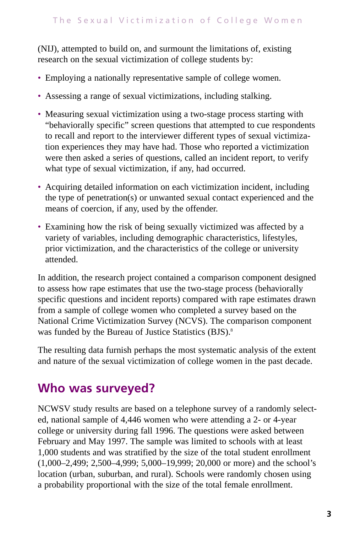(NIJ), attempted to build on, and surmount the limitations of, existing research on the sexual victimization of college students by:

- Employing a nationally representative sample of college women.
- Assessing a range of sexual victimizations, including stalking.
- Measuring sexual victimization using a two-stage process starting with "behaviorally specific" screen questions that attempted to cue respondents to recall and report to the interviewer different types of sexual victimization experiences they may have had. Those who reported a victimization were then asked a series of questions, called an incident report, to verify what type of sexual victimization, if any, had occurred.
- Acquiring detailed information on each victimization incident, including the type of penetration(s) or unwanted sexual contact experienced and the means of coercion, if any, used by the offender.
- Examining how the risk of being sexually victimized was affected by a variety of variables, including demographic characteristics, lifestyles, prior victimization, and the characteristics of the college or university attended.

In addition, the research project contained a comparison component designed to assess how rape estimates that use the two-stage process (behaviorally specific questions and incident reports) compared with rape estimates drawn from a sample of college women who completed a survey based on the National Crime Victimization Survey (NCVS). The comparison component was funded by the Bureau of Justice Statistics (BJS).<sup>8</sup>

The resulting data furnish perhaps the most systematic analysis of the extent and nature of the sexual victimization of college women in the past decade.

#### **Who was surveyed?**

NCWSV study results are based on a telephone survey of a randomly selected, national sample of 4,446 women who were attending a 2- or 4-year college or university during fall 1996. The questions were asked between February and May 1997. The sample was limited to schools with at least 1,000 students and was stratified by the size of the total student enrollment (1,000–2,499; 2,500–4,999; 5,000–19,999; 20,000 or more) and the school's location (urban, suburban, and rural). Schools were randomly chosen using a probability proportional with the size of the total female enrollment.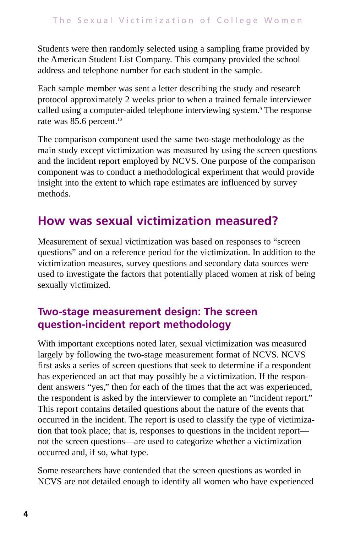Students were then randomly selected using a sampling frame provided by the American Student List Company. This company provided the school address and telephone number for each student in the sample.

Each sample member was sent a letter describing the study and research protocol approximately 2 weeks prior to when a trained female interviewer called using a computer-aided telephone interviewing system.<sup>9</sup> The response rate was 85.6 percent.<sup>10</sup>

The comparison component used the same two-stage methodology as the main study except victimization was measured by using the screen questions and the incident report employed by NCVS. One purpose of the comparison component was to conduct a methodological experiment that would provide insight into the extent to which rape estimates are influenced by survey methods.

### **How was sexual victimization measured?**

Measurement of sexual victimization was based on responses to "screen questions" and on a reference period for the victimization. In addition to the victimization measures, survey questions and secondary data sources were used to investigate the factors that potentially placed women at risk of being sexually victimized.

#### **Two-stage measurement design: The screen question-incident report methodology**

With important exceptions noted later, sexual victimization was measured largely by following the two-stage measurement format of NCVS. NCVS first asks a series of screen questions that seek to determine if a respondent has experienced an act that may possibly be a victimization. If the respondent answers "yes," then for each of the times that the act was experienced, the respondent is asked by the interviewer to complete an "incident report." This report contains detailed questions about the nature of the events that occurred in the incident. The report is used to classify the type of victimization that took place; that is, responses to questions in the incident report not the screen questions—are used to categorize whether a victimization occurred and, if so, what type.

Some researchers have contended that the screen questions as worded in NCVS are not detailed enough to identify all women who have experienced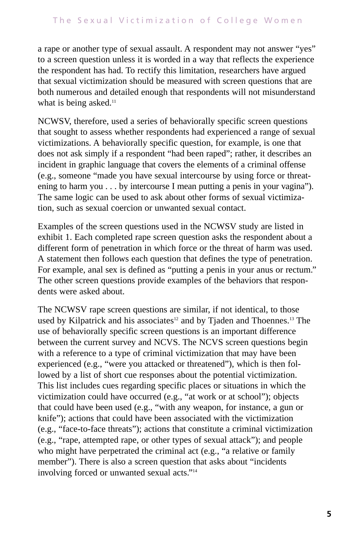a rape or another type of sexual assault. A respondent may not answer "yes" to a screen question unless it is worded in a way that reflects the experience the respondent has had. To rectify this limitation, researchers have argued that sexual victimization should be measured with screen questions that are both numerous and detailed enough that respondents will not misunderstand what is being asked.<sup>11</sup>

NCWSV, therefore, used a series of behaviorally specific screen questions that sought to assess whether respondents had experienced a range of sexual victimizations. A behaviorally specific question, for example, is one that does not ask simply if a respondent "had been raped"; rather, it describes an incident in graphic language that covers the elements of a criminal offense (e.g., someone "made you have sexual intercourse by using force or threatening to harm you . . . by intercourse I mean putting a penis in your vagina"). The same logic can be used to ask about other forms of sexual victimization, such as sexual coercion or unwanted sexual contact.

Examples of the screen questions used in the NCWSV study are listed in exhibit 1. Each completed rape screen question asks the respondent about a different form of penetration in which force or the threat of harm was used. A statement then follows each question that defines the type of penetration. For example, anal sex is defined as "putting a penis in your anus or rectum." The other screen questions provide examples of the behaviors that respondents were asked about.

The NCWSV rape screen questions are similar, if not identical, to those used by Kilpatrick and his associates<sup>12</sup> and by Tjaden and Thoennes.<sup>13</sup> The use of behaviorally specific screen questions is an important difference between the current survey and NCVS. The NCVS screen questions begin with a reference to a type of criminal victimization that may have been experienced (e.g., "were you attacked or threatened"), which is then followed by a list of short cue responses about the potential victimization. This list includes cues regarding specific places or situations in which the victimization could have occurred (e.g., "at work or at school"); objects that could have been used (e.g., "with any weapon, for instance, a gun or knife"); actions that could have been associated with the victimization (e.g., "face-to-face threats"); actions that constitute a criminal victimization (e.g., "rape, attempted rape, or other types of sexual attack"); and people who might have perpetrated the criminal act (e.g., "a relative or family member"). There is also a screen question that asks about "incidents involving forced or unwanted sexual acts."14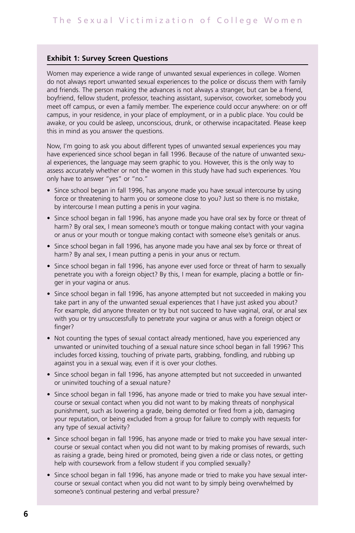#### **Exhibit 1: Survey Screen Questions**

Women may experience a wide range of unwanted sexual experiences in college. Women do not always report unwanted sexual experiences to the police or discuss them with family and friends. The person making the advances is not always a stranger, but can be a friend, boyfriend, fellow student, professor, teaching assistant, supervisor, coworker, somebody you meet off campus, or even a family member. The experience could occur anywhere: on or off campus, in your residence, in your place of employment, or in a public place. You could be awake, or you could be asleep, unconscious, drunk, or otherwise incapacitated. Please keep this in mind as you answer the questions.

Now, I'm going to ask you about different types of unwanted sexual experiences you may have experienced since school began in fall 1996. Because of the nature of unwanted sexual experiences, the language may seem graphic to you. However, this is the only way to assess accurately whether or not the women in this study have had such experiences. You only have to answer "yes" or "no."

- Since school began in fall 1996, has anyone made you have sexual intercourse by using force or threatening to harm you or someone close to you? Just so there is no mistake, by intercourse I mean putting a penis in your vagina.
- Since school began in fall 1996, has anyone made you have oral sex by force or threat of harm? By oral sex, I mean someone's mouth or tongue making contact with your vagina or anus or your mouth or tongue making contact with someone else's genitals or anus.
- Since school began in fall 1996, has anyone made you have anal sex by force or threat of harm? By anal sex, I mean putting a penis in your anus or rectum.
- Since school began in fall 1996, has anyone ever used force or threat of harm to sexually penetrate you with a foreign object? By this, I mean for example, placing a bottle or finger in your vagina or anus.
- Since school began in fall 1996, has anyone attempted but not succeeded in making you take part in any of the unwanted sexual experiences that I have just asked you about? For example, did anyone threaten or try but not succeed to have vaginal, oral, or anal sex with you or try unsuccessfully to penetrate your vagina or anus with a foreign object or finger?
- Not counting the types of sexual contact already mentioned, have you experienced any unwanted or uninvited touching of a sexual nature since school began in fall 1996? This includes forced kissing, touching of private parts, grabbing, fondling, and rubbing up against you in a sexual way, even if it is over your clothes.
- Since school began in fall 1996, has anyone attempted but not succeeded in unwanted or uninvited touching of a sexual nature?
- Since school began in fall 1996, has anyone made or tried to make you have sexual intercourse or sexual contact when you did not want to by making threats of nonphysical punishment, such as lowering a grade, being demoted or fired from a job, damaging your reputation, or being excluded from a group for failure to comply with requests for any type of sexual activity?
- Since school began in fall 1996, has anyone made or tried to make you have sexual intercourse or sexual contact when you did not want to by making promises of rewards, such as raising a grade, being hired or promoted, being given a ride or class notes, or getting help with coursework from a fellow student if you complied sexually?
- Since school began in fall 1996, has anyone made or tried to make you have sexual intercourse or sexual contact when you did not want to by simply being overwhelmed by someone's continual pestering and verbal pressure?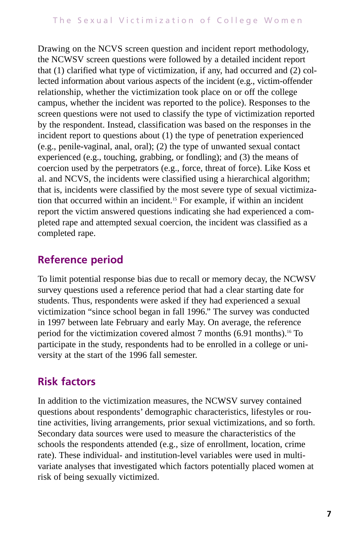Drawing on the NCVS screen question and incident report methodology, the NCWSV screen questions were followed by a detailed incident report that (1) clarified what type of victimization, if any, had occurred and (2) collected information about various aspects of the incident (e.g., victim-offender relationship, whether the victimization took place on or off the college campus, whether the incident was reported to the police). Responses to the screen questions were not used to classify the type of victimization reported by the respondent. Instead, classification was based on the responses in the incident report to questions about (1) the type of penetration experienced (e.g., penile-vaginal, anal, oral); (2) the type of unwanted sexual contact experienced (e.g., touching, grabbing, or fondling); and (3) the means of coercion used by the perpetrators (e.g., force, threat of force). Like Koss et al. and NCVS, the incidents were classified using a hierarchical algorithm; that is, incidents were classified by the most severe type of sexual victimization that occurred within an incident.15 For example, if within an incident report the victim answered questions indicating she had experienced a completed rape and attempted sexual coercion, the incident was classified as a completed rape.

#### **Reference period**

To limit potential response bias due to recall or memory decay, the NCWSV survey questions used a reference period that had a clear starting date for students. Thus, respondents were asked if they had experienced a sexual victimization "since school began in fall 1996." The survey was conducted in 1997 between late February and early May. On average, the reference period for the victimization covered almost 7 months (6.91 months).<sup>16</sup> To participate in the study, respondents had to be enrolled in a college or university at the start of the 1996 fall semester.

#### **Risk factors**

In addition to the victimization measures, the NCWSV survey contained questions about respondents' demographic characteristics, lifestyles or routine activities, living arrangements, prior sexual victimizations, and so forth. Secondary data sources were used to measure the characteristics of the schools the respondents attended (e.g., size of enrollment, location, crime rate). These individual- and institution-level variables were used in multivariate analyses that investigated which factors potentially placed women at risk of being sexually victimized.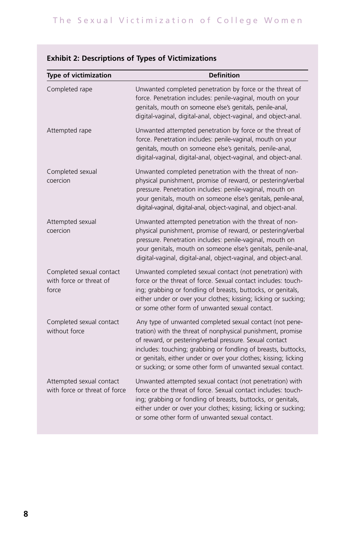| <b>Type of victimization</b>                                 | <b>Definition</b>                                                                                                                                                                                                                                                                                                                                                                      |
|--------------------------------------------------------------|----------------------------------------------------------------------------------------------------------------------------------------------------------------------------------------------------------------------------------------------------------------------------------------------------------------------------------------------------------------------------------------|
| Completed rape                                               | Unwanted completed penetration by force or the threat of<br>force. Penetration includes: penile-vaginal, mouth on your<br>genitals, mouth on someone else's genitals, penile-anal,<br>digital-vaginal, digital-anal, object-vaginal, and object-anal.                                                                                                                                  |
| Attempted rape                                               | Unwanted attempted penetration by force or the threat of<br>force. Penetration includes: penile-vaginal, mouth on your<br>genitals, mouth on someone else's genitals, penile-anal,<br>digital-vaginal, digital-anal, object-vaginal, and object-anal.                                                                                                                                  |
| Completed sexual<br>coercion                                 | Unwanted completed penetration with the threat of non-<br>physical punishment, promise of reward, or pestering/verbal<br>pressure. Penetration includes: penile-vaginal, mouth on<br>your genitals, mouth on someone else's genitals, penile-anal,<br>digital-vaginal, digital-anal, object-vaginal, and object-anal.                                                                  |
| Attempted sexual<br>coercion                                 | Unwanted attempted penetration with the threat of non-<br>physical punishment, promise of reward, or pestering/verbal<br>pressure. Penetration includes: penile-vaginal, mouth on<br>your genitals, mouth on someone else's genitals, penile-anal,<br>digital-vaginal, digital-anal, object-vaginal, and object-anal.                                                                  |
| Completed sexual contact<br>with force or threat of<br>force | Unwanted completed sexual contact (not penetration) with<br>force or the threat of force. Sexual contact includes: touch-<br>ing; grabbing or fondling of breasts, buttocks, or genitals,<br>either under or over your clothes; kissing; licking or sucking;<br>or some other form of unwanted sexual contact.                                                                         |
| Completed sexual contact<br>without force                    | Any type of unwanted completed sexual contact (not pene-<br>tration) with the threat of nonphysical punishment, promise<br>of reward, or pestering/verbal pressure. Sexual contact<br>includes: touching; grabbing or fondling of breasts, buttocks,<br>or genitals, either under or over your clothes; kissing; licking<br>or sucking; or some other form of unwanted sexual contact. |
| Attempted sexual contact<br>with force or threat of force    | Unwanted attempted sexual contact (not penetration) with<br>force or the threat of force. Sexual contact includes: touch-<br>ing; grabbing or fondling of breasts, buttocks, or genitals,<br>either under or over your clothes; kissing; licking or sucking;<br>or some other form of unwanted sexual contact.                                                                         |

#### **Exhibit 2: Descriptions of Types of Victimizations**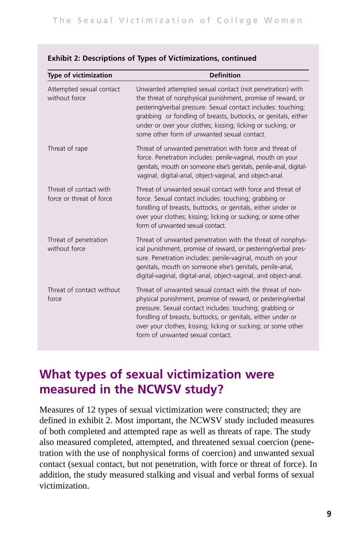| <b>Type of victimization</b>                       | <b>Definition</b>                                                                                                                                                                                                                                                                                                                                                        |
|----------------------------------------------------|--------------------------------------------------------------------------------------------------------------------------------------------------------------------------------------------------------------------------------------------------------------------------------------------------------------------------------------------------------------------------|
| Attempted sexual contact<br>without force          | Unwanted attempted sexual contact (not penetration) with<br>the threat of nonphysical punishment, promise of reward, or<br>pestering/verbal pressure. Sexual contact includes: touching;<br>grabbing or fondling of breasts, buttocks, or genitals, either<br>under or over your clothes; kissing; licking or sucking; or<br>some other form of unwanted sexual contact. |
| Threat of rape                                     | Threat of unwanted penetration with force and threat of<br>force. Penetration includes: penile-vaginal, mouth on your<br>genitals, mouth on someone else's genitals, penile-anal, digital-<br>vaginal, digital-anal, object-vaginal, and object-anal.                                                                                                                    |
| Threat of contact with<br>force or threat of force | Threat of unwanted sexual contact with force and threat of<br>force. Sexual contact includes: touching; grabbing or<br>fondling of breasts, buttocks, or genitals, either under or<br>over your clothes; kissing; licking or sucking; or some other<br>form of unwanted sexual contact.                                                                                  |
| Threat of penetration<br>without force             | Threat of unwanted penetration with the threat of nonphys-<br>ical punishment, promise of reward, or pestering/verbal pres-<br>sure. Penetration includes: penile-vaginal, mouth on your<br>genitals, mouth on someone else's genitals, penile-anal,<br>digital-vaginal, digital-anal, object-vaginal, and object-anal.                                                  |
| Threat of contact without<br>force                 | Threat of unwanted sexual contact with the threat of non-<br>physical punishment, promise of reward, or pestering/verbal<br>pressure. Sexual contact includes: touching; grabbing or<br>fondling of breasts, buttocks, or genitals, either under or<br>over your clothes; kissing; licking or sucking; or some other<br>form of unwanted sexual contact.                 |

#### **Exhibit 2: Descriptions of Types of Victimizations, continued**

#### **What types of sexual victimization were measured in the NCWSV study?**

Measures of 12 types of sexual victimization were constructed; they are defined in exhibit 2. Most important, the NCWSV study included measures of both completed and attempted rape as well as threats of rape. The study also measured completed, attempted, and threatened sexual coercion (penetration with the use of nonphysical forms of coercion) and unwanted sexual contact (sexual contact, but not penetration, with force or threat of force). In addition, the study measured stalking and visual and verbal forms of sexual victimization.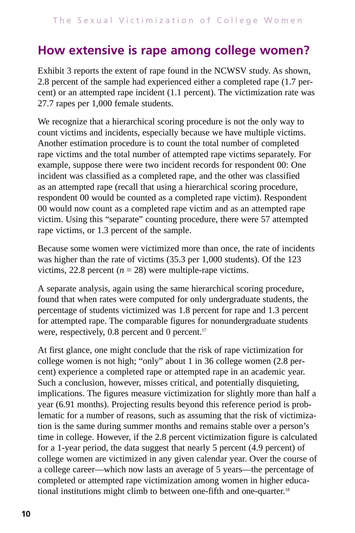#### **How extensive is rape among college women?**

Exhibit 3 reports the extent of rape found in the NCWSV study. As shown, 2.8 percent of the sample had experienced either a completed rape (1.7 percent) or an attempted rape incident (1.1 percent). The victimization rate was 27.7 rapes per 1,000 female students.

We recognize that a hierarchical scoring procedure is not the only way to count victims and incidents, especially because we have multiple victims. Another estimation procedure is to count the total number of completed rape victims and the total number of attempted rape victims separately. For example, suppose there were two incident records for respondent 00: One incident was classified as a completed rape, and the other was classified as an attempted rape (recall that using a hierarchical scoring procedure, respondent 00 would be counted as a completed rape victim). Respondent 00 would now count as a completed rape victim and as an attempted rape victim. Using this "separate" counting procedure, there were 57 attempted rape victims, or 1.3 percent of the sample.

Because some women were victimized more than once, the rate of incidents was higher than the rate of victims (35.3 per 1,000 students). Of the 123 victims, 22.8 percent  $(n = 28)$  were multiple-rape victims.

A separate analysis, again using the same hierarchical scoring procedure, found that when rates were computed for only undergraduate students, the percentage of students victimized was 1.8 percent for rape and 1.3 percent for attempted rape. The comparable figures for nonundergraduate students were, respectively, 0.8 percent and 0 percent.<sup>17</sup>

At first glance, one might conclude that the risk of rape victimization for college women is not high; "only" about 1 in 36 college women (2.8 percent) experience a completed rape or attempted rape in an academic year. Such a conclusion, however, misses critical, and potentially disquieting, implications. The figures measure victimization for slightly more than half a year (6.91 months). Projecting results beyond this reference period is problematic for a number of reasons, such as assuming that the risk of victimization is the same during summer months and remains stable over a person's time in college. However, if the 2.8 percent victimization figure is calculated for a 1-year period, the data suggest that nearly 5 percent (4.9 percent) of college women are victimized in any given calendar year. Over the course of a college career—which now lasts an average of 5 years—the percentage of completed or attempted rape victimization among women in higher educational institutions might climb to between one-fifth and one-quarter.18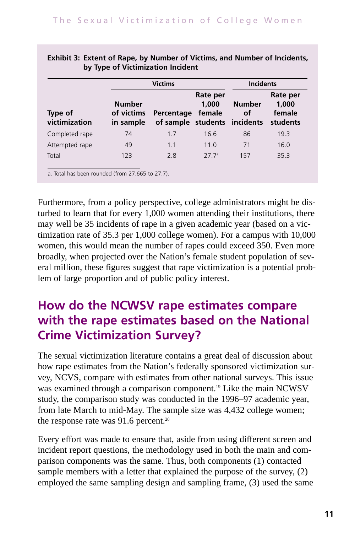|                          |                                          | <b>Victims</b>                             |                             |                     | <b>Incidents</b>                        |
|--------------------------|------------------------------------------|--------------------------------------------|-----------------------------|---------------------|-----------------------------------------|
| Type of<br>victimization | <b>Number</b><br>of victims<br>in sample | Percentage<br>of sample students incidents | Rate per<br>1,000<br>female | <b>Number</b><br>оf | Rate per<br>1,000<br>female<br>students |
| Completed rape           | 74                                       | 1.7                                        | 16.6                        | 86                  | 19.3                                    |
| Attempted rape           | 49                                       | 1.1                                        | 11.0                        | 71                  | 16.0                                    |
| Total                    | 123                                      | 2.8                                        | 27 <sup>7a</sup>            | 157                 | 35.3                                    |

| <b>Exhibit 3: Extent of Rape, by Number of Victims, and Number of Incidents,</b> |
|----------------------------------------------------------------------------------|
| by Type of Victimization Incident                                                |

a. Total has been rounded (from 27.665 to 27.7).

Furthermore, from a policy perspective, college administrators might be disturbed to learn that for every 1,000 women attending their institutions, there may well be 35 incidents of rape in a given academic year (based on a victimization rate of 35.3 per 1,000 college women). For a campus with 10,000 women, this would mean the number of rapes could exceed 350. Even more broadly, when projected over the Nation's female student population of several million, these figures suggest that rape victimization is a potential problem of large proportion and of public policy interest.

### **How do the NCWSV rape estimates compare with the rape estimates based on the National Crime Victimization Survey?**

The sexual victimization literature contains a great deal of discussion about how rape estimates from the Nation's federally sponsored victimization survey, NCVS, compare with estimates from other national surveys. This issue was examined through a comparison component.<sup>19</sup> Like the main NCWSV study, the comparison study was conducted in the 1996–97 academic year, from late March to mid-May. The sample size was 4,432 college women; the response rate was 91.6 percent.<sup>20</sup>

Every effort was made to ensure that, aside from using different screen and incident report questions, the methodology used in both the main and comparison components was the same. Thus, both components (1) contacted sample members with a letter that explained the purpose of the survey, (2) employed the same sampling design and sampling frame, (3) used the same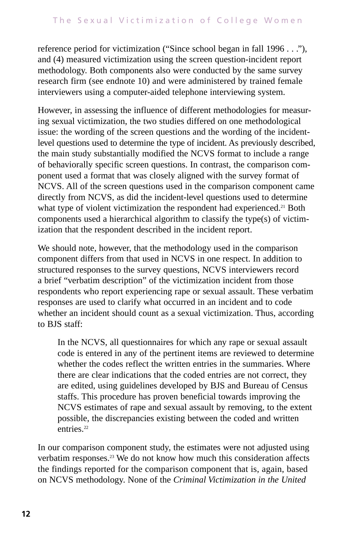reference period for victimization ("Since school began in fall 1996 . . ."), and (4) measured victimization using the screen question-incident report methodology. Both components also were conducted by the same survey research firm (see endnote 10) and were administered by trained female interviewers using a computer-aided telephone interviewing system.

However, in assessing the influence of different methodologies for measuring sexual victimization, the two studies differed on one methodological issue: the wording of the screen questions and the wording of the incidentlevel questions used to determine the type of incident. As previously described, the main study substantially modified the NCVS format to include a range of behaviorally specific screen questions. In contrast, the comparison component used a format that was closely aligned with the survey format of NCVS. All of the screen questions used in the comparison component came directly from NCVS, as did the incident-level questions used to determine what type of violent victimization the respondent had experienced.<sup>21</sup> Both components used a hierarchical algorithm to classify the type(s) of victimization that the respondent described in the incident report.

We should note, however, that the methodology used in the comparison component differs from that used in NCVS in one respect. In addition to structured responses to the survey questions, NCVS interviewers record a brief "verbatim description" of the victimization incident from those respondents who report experiencing rape or sexual assault. These verbatim responses are used to clarify what occurred in an incident and to code whether an incident should count as a sexual victimization. Thus, according to BJS staff:

In the NCVS, all questionnaires for which any rape or sexual assault code is entered in any of the pertinent items are reviewed to determine whether the codes reflect the written entries in the summaries. Where there are clear indications that the coded entries are not correct, they are edited, using guidelines developed by BJS and Bureau of Census staffs. This procedure has proven beneficial towards improving the NCVS estimates of rape and sexual assault by removing, to the extent possible, the discrepancies existing between the coded and written entries<sup>22</sup>

In our comparison component study, the estimates were not adjusted using verbatim responses.<sup>23</sup> We do not know how much this consideration affects the findings reported for the comparison component that is, again, based on NCVS methodology. None of the *Criminal Victimization in the United*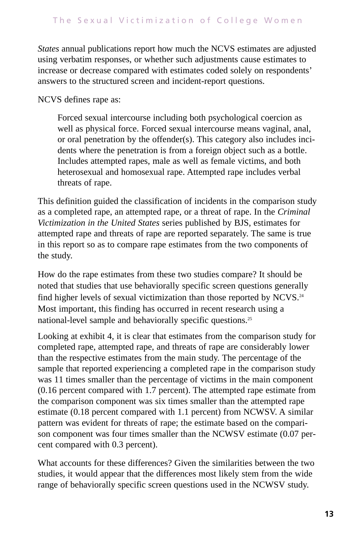*States* annual publications report how much the NCVS estimates are adjusted using verbatim responses, or whether such adjustments cause estimates to increase or decrease compared with estimates coded solely on respondents' answers to the structured screen and incident-report questions.

NCVS defines rape as:

Forced sexual intercourse including both psychological coercion as well as physical force. Forced sexual intercourse means vaginal, anal, or oral penetration by the offender(s). This category also includes incidents where the penetration is from a foreign object such as a bottle. Includes attempted rapes, male as well as female victims, and both heterosexual and homosexual rape. Attempted rape includes verbal threats of rape.

This definition guided the classification of incidents in the comparison study as a completed rape, an attempted rape, or a threat of rape. In the *Criminal Victimization in the United States* series published by BJS, estimates for attempted rape and threats of rape are reported separately. The same is true in this report so as to compare rape estimates from the two components of the study.

How do the rape estimates from these two studies compare? It should be noted that studies that use behaviorally specific screen questions generally find higher levels of sexual victimization than those reported by NCVS.<sup>24</sup> Most important, this finding has occurred in recent research using a national-level sample and behaviorally specific questions.<sup>25</sup>

Looking at exhibit 4, it is clear that estimates from the comparison study for completed rape, attempted rape, and threats of rape are considerably lower than the respective estimates from the main study. The percentage of the sample that reported experiencing a completed rape in the comparison study was 11 times smaller than the percentage of victims in the main component (0.16 percent compared with 1.7 percent). The attempted rape estimate from the comparison component was six times smaller than the attempted rape estimate (0.18 percent compared with 1.1 percent) from NCWSV. A similar pattern was evident for threats of rape; the estimate based on the comparison component was four times smaller than the NCWSV estimate (0.07 percent compared with 0.3 percent).

What accounts for these differences? Given the similarities between the two studies, it would appear that the differences most likely stem from the wide range of behaviorally specific screen questions used in the NCWSV study.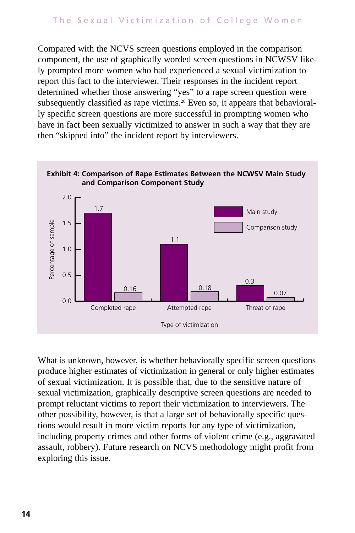Compared with the NCVS screen questions employed in the comparison component, the use of graphically worded screen questions in NCWSV likely prompted more women who had experienced a sexual victimization to report this fact to the interviewer. Their responses in the incident report determined whether those answering "yes" to a rape screen question were subsequently classified as rape victims.<sup>26</sup> Even so, it appears that behaviorally specific screen questions are more successful in prompting women who have in fact been sexually victimized to answer in such a way that they are then "skipped into" the incident report by interviewers.



What is unknown, however, is whether behaviorally specific screen questions produce higher estimates of victimization in general or only higher estimates of sexual victimization. It is possible that, due to the sensitive nature of sexual victimization, graphically descriptive screen questions are needed to prompt reluctant victims to report their victimization to interviewers. The other possibility, however, is that a large set of behaviorally specific questions would result in more victim reports for any type of victimization, including property crimes and other forms of violent crime (e.g., aggravated assault, robbery). Future research on NCVS methodology might profit from exploring this issue.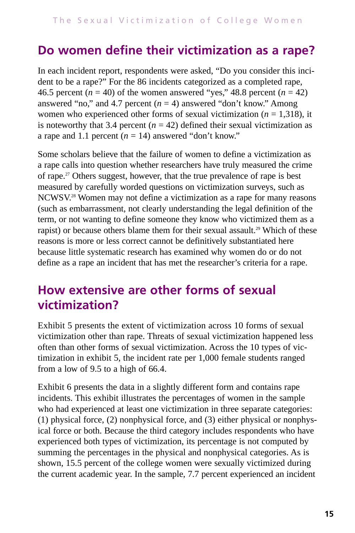#### **Do women define their victimization as a rape?**

In each incident report, respondents were asked, "Do you consider this incident to be a rape?" For the 86 incidents categorized as a completed rape, 46.5 percent  $(n = 40)$  of the women answered "yes," 48.8 percent  $(n = 42)$ answered "no," and 4.7 percent  $(n = 4)$  answered "don't know." Among women who experienced other forms of sexual victimization  $(n = 1,318)$ , it is noteworthy that 3.4 percent  $(n = 42)$  defined their sexual victimization as a rape and 1.1 percent  $(n = 14)$  answered "don't know."

Some scholars believe that the failure of women to define a victimization as a rape calls into question whether researchers have truly measured the crime of rape.27 Others suggest, however, that the true prevalence of rape is best measured by carefully worded questions on victimization surveys, such as NCWSV.28 Women may not define a victimization as a rape for many reasons (such as embarrassment, not clearly understanding the legal definition of the term, or not wanting to define someone they know who victimized them as a rapist) or because others blame them for their sexual assault.<sup>29</sup> Which of these reasons is more or less correct cannot be definitively substantiated here because little systematic research has examined why women do or do not define as a rape an incident that has met the researcher's criteria for a rape.

### **How extensive are other forms of sexual victimization?**

Exhibit 5 presents the extent of victimization across 10 forms of sexual victimization other than rape. Threats of sexual victimization happened less often than other forms of sexual victimization. Across the 10 types of victimization in exhibit 5, the incident rate per 1,000 female students ranged from a low of 9.5 to a high of 66.4.

Exhibit 6 presents the data in a slightly different form and contains rape incidents. This exhibit illustrates the percentages of women in the sample who had experienced at least one victimization in three separate categories: (1) physical force, (2) nonphysical force, and (3) either physical or nonphysical force or both. Because the third category includes respondents who have experienced both types of victimization, its percentage is not computed by summing the percentages in the physical and nonphysical categories. As is shown, 15.5 percent of the college women were sexually victimized during the current academic year. In the sample, 7.7 percent experienced an incident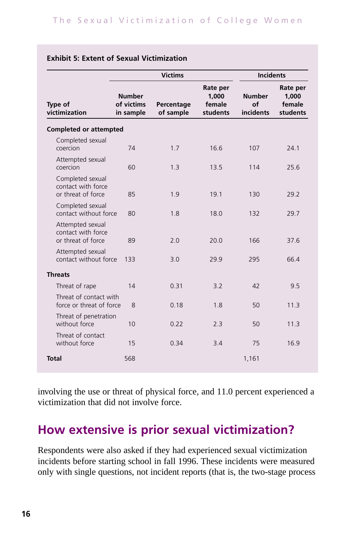|                                                              |                                          | <b>Victims</b>          |                                         | <b>Incidents</b>                 |                                         |
|--------------------------------------------------------------|------------------------------------------|-------------------------|-----------------------------------------|----------------------------------|-----------------------------------------|
| Type of<br>victimization                                     | <b>Number</b><br>of victims<br>in sample | Percentage<br>of sample | Rate per<br>1,000<br>female<br>students | <b>Number</b><br>of<br>incidents | Rate per<br>1,000<br>female<br>students |
| <b>Completed or attempted</b>                                |                                          |                         |                                         |                                  |                                         |
| Completed sexual<br>coercion                                 | 74                                       | 1.7                     | 16.6                                    | 107                              | 24.1                                    |
| Attempted sexual<br>coercion                                 | 60                                       | 1.3                     | 13.5                                    | 114                              | 25.6                                    |
| Completed sexual<br>contact with force<br>or threat of force | 85                                       | 1.9                     | 19.1                                    | 130                              | 29.2                                    |
| Completed sexual<br>contact without force                    | 80                                       | 1.8                     | 18.0                                    | 132                              | 29.7                                    |
| Attempted sexual<br>contact with force<br>or threat of force | 89                                       | 2.0                     | 20.0                                    | 166                              | 37.6                                    |
| Attempted sexual<br>contact without force                    | 133                                      | 3.0                     | 29.9                                    | 295                              | 66.4                                    |
| <b>Threats</b>                                               |                                          |                         |                                         |                                  |                                         |
| Threat of rape                                               | 14                                       | 0.31                    | 3.2                                     | 42                               | 9.5                                     |
| Threat of contact with<br>force or threat of force           | 8                                        | 0.18                    | 1.8                                     | 50                               | 11.3                                    |
| Threat of penetration<br>without force                       | 10                                       | 0.22                    | 2.3                                     | 50                               | 11.3                                    |
| Threat of contact<br>without force                           | 15                                       | 0.34                    | 3.4                                     | 75                               | 16.9                                    |
| <b>Total</b>                                                 | 568                                      |                         |                                         | 1,161                            |                                         |

#### **Exhibit 5: Extent of Sexual Victimization**

involving the use or threat of physical force, and 11.0 percent experienced a victimization that did not involve force.

#### **How extensive is prior sexual victimization?**

Respondents were also asked if they had experienced sexual victimization incidents before starting school in fall 1996. These incidents were measured only with single questions, not incident reports (that is, the two-stage process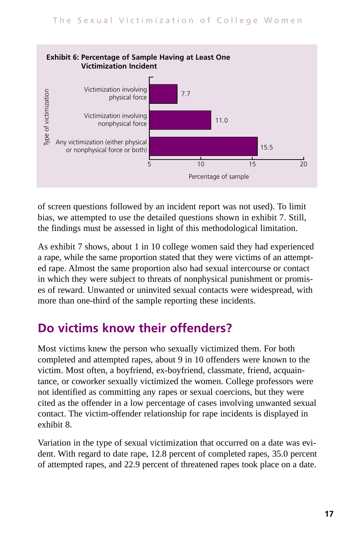

of screen questions followed by an incident report was not used). To limit bias, we attempted to use the detailed questions shown in exhibit 7. Still, the findings must be assessed in light of this methodological limitation.

As exhibit 7 shows, about 1 in 10 college women said they had experienced a rape, while the same proportion stated that they were victims of an attempted rape. Almost the same proportion also had sexual intercourse or contact in which they were subject to threats of nonphysical punishment or promises of reward. Unwanted or uninvited sexual contacts were widespread, with more than one-third of the sample reporting these incidents.

### **Do victims know their offenders?**

Most victims knew the person who sexually victimized them. For both completed and attempted rapes, about 9 in 10 offenders were known to the victim. Most often, a boyfriend, ex-boyfriend, classmate, friend, acquaintance, or coworker sexually victimized the women. College professors were not identified as committing any rapes or sexual coercions, but they were cited as the offender in a low percentage of cases involving unwanted sexual contact. The victim-offender relationship for rape incidents is displayed in exhibit 8.

Variation in the type of sexual victimization that occurred on a date was evident. With regard to date rape, 12.8 percent of completed rapes, 35.0 percent of attempted rapes, and 22.9 percent of threatened rapes took place on a date.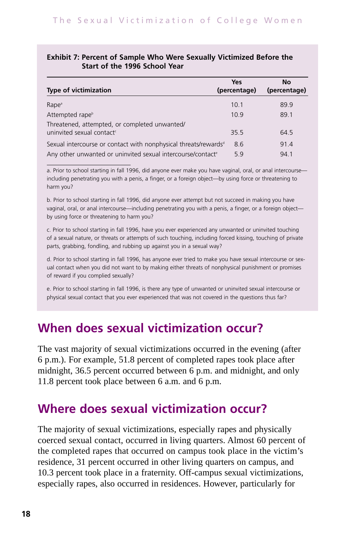| <b>Exhibit 7: Percent of Sample Who Were Sexually Victimized Before the</b> |
|-----------------------------------------------------------------------------|
| Start of the 1996 School Year                                               |

|                                                                             | Yes          | No           |
|-----------------------------------------------------------------------------|--------------|--------------|
| <b>Type of victimization</b>                                                | (percentage) | (percentage) |
| Rape <sup>a</sup>                                                           | 10.1         | 89.9         |
| Attempted rape <sup>b</sup>                                                 | 10.9         | 89.1         |
| Threatened, attempted, or completed unwanted/                               |              |              |
| uninvited sexual contact <sup>c</sup>                                       | 35.5         | 64.5         |
| Sexual intercourse or contact with nonphysical threats/rewards <sup>d</sup> | 8.6          | 91.4         |
| Any other unwanted or uninvited sexual intercourse/contact <sup>e</sup>     | 59           | 94.1         |

a. Prior to school starting in fall 1996, did anyone ever make you have vaginal, oral, or anal intercourse including penetrating you with a penis, a finger, or a foreign object—by using force or threatening to harm you?

b. Prior to school starting in fall 1996, did anyone ever attempt but not succeed in making you have vaginal, oral, or anal intercourse—including penetrating you with a penis, a finger, or a foreign object by using force or threatening to harm you?

c. Prior to school starting in fall 1996, have you ever experienced any unwanted or uninvited touching of a sexual nature, or threats or attempts of such touching, including forced kissing, touching of private parts, grabbing, fondling, and rubbing up against you in a sexual way?

d. Prior to school starting in fall 1996, has anyone ever tried to make you have sexual intercourse or sexual contact when you did not want to by making either threats of nonphysical punishment or promises of reward if you complied sexually?

e. Prior to school starting in fall 1996, is there any type of unwanted or uninvited sexual intercourse or physical sexual contact that you ever experienced that was not covered in the questions thus far?

#### **When does sexual victimization occur?**

The vast majority of sexual victimizations occurred in the evening (after 6 p.m.). For example, 51.8 percent of completed rapes took place after midnight, 36.5 percent occurred between 6 p.m. and midnight, and only 11.8 percent took place between 6 a.m. and 6 p.m.

#### **Where does sexual victimization occur?**

The majority of sexual victimizations, especially rapes and physically coerced sexual contact, occurred in living quarters. Almost 60 percent of the completed rapes that occurred on campus took place in the victim's residence, 31 percent occurred in other living quarters on campus, and 10.3 percent took place in a fraternity. Off-campus sexual victimizations, especially rapes, also occurred in residences. However, particularly for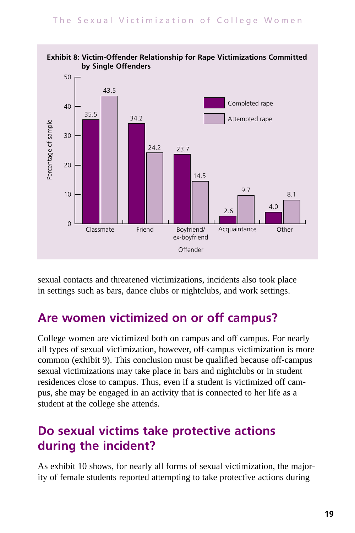

sexual contacts and threatened victimizations, incidents also took place in settings such as bars, dance clubs or nightclubs, and work settings.

### **Are women victimized on or off campus?**

College women are victimized both on campus and off campus. For nearly all types of sexual victimization, however, off-campus victimization is more common (exhibit 9). This conclusion must be qualified because off-campus sexual victimizations may take place in bars and nightclubs or in student residences close to campus. Thus, even if a student is victimized off campus, she may be engaged in an activity that is connected to her life as a student at the college she attends.

### **Do sexual victims take protective actions during the incident?**

As exhibit 10 shows, for nearly all forms of sexual victimization, the majority of female students reported attempting to take protective actions during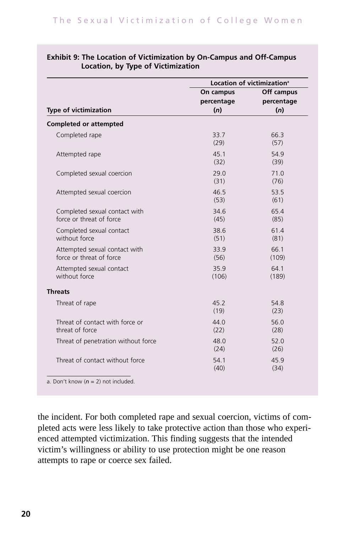|                                                           | Location of victimization <sup>a</sup> |               |  |
|-----------------------------------------------------------|----------------------------------------|---------------|--|
|                                                           | On campus                              | Off campus    |  |
|                                                           | percentage                             | percentage    |  |
| <b>Type of victimization</b>                              | (n)                                    | (n)           |  |
| <b>Completed or attempted</b>                             |                                        |               |  |
| Completed rape                                            | 33.7<br>(29)                           | 66.3<br>(57)  |  |
| Attempted rape                                            | 45.1<br>(32)                           | 54.9<br>(39)  |  |
| Completed sexual coercion                                 | 29.0<br>(31)                           | 71.0<br>(76)  |  |
| Attempted sexual coercion                                 | 46.5<br>(53)                           | 53.5<br>(61)  |  |
| Completed sexual contact with<br>force or threat of force | 34.6<br>(45)                           | 65.4<br>(85)  |  |
| Completed sexual contact<br>without force                 | 38.6<br>(51)                           | 61.4<br>(81)  |  |
| Attempted sexual contact with<br>force or threat of force | 33.9<br>(56)                           | 66.1<br>(109) |  |
| Attempted sexual contact<br>without force                 | 35.9<br>(106)                          | 64.1<br>(189) |  |
| <b>Threats</b>                                            |                                        |               |  |
| Threat of rape                                            | 45.2<br>(19)                           | 54.8<br>(23)  |  |
| Threat of contact with force or<br>threat of force        | 44.0<br>(22)                           | 56.0<br>(28)  |  |
| Threat of penetration without force                       | 48.0<br>(24)                           | 52.0<br>(26)  |  |
| Threat of contact without force                           | 54.1<br>(40)                           | 45.9<br>(34)  |  |

#### **Exhibit 9: The Location of Victimization by On-Campus and Off-Campus Location, by Type of Victimization**

the incident. For both completed rape and sexual coercion, victims of completed acts were less likely to take protective action than those who experienced attempted victimization. This finding suggests that the intended victim's willingness or ability to use protection might be one reason attempts to rape or coerce sex failed.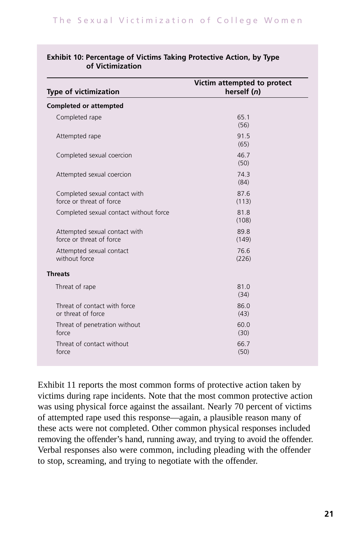| <b>Type of victimization</b>                              | Victim attempted to protect<br>herself (n) |
|-----------------------------------------------------------|--------------------------------------------|
| <b>Completed or attempted</b>                             |                                            |
| Completed rape                                            | 65.1<br>(56)                               |
| Attempted rape                                            | 91.5<br>(65)                               |
| Completed sexual coercion                                 | 46.7<br>(50)                               |
| Attempted sexual coercion                                 | 74.3<br>(84)                               |
| Completed sexual contact with<br>force or threat of force | 87.6<br>(113)                              |
| Completed sexual contact without force                    | 81.8<br>(108)                              |
| Attempted sexual contact with<br>force or threat of force | 89.8<br>(149)                              |
| Attempted sexual contact<br>without force                 | 76.6<br>(226)                              |
| <b>Threats</b>                                            |                                            |
| Threat of rape                                            | 81.0<br>(34)                               |
| Threat of contact with force<br>or threat of force        | 86.0<br>(43)                               |
| Threat of penetration without<br>force                    | 60.0<br>(30)                               |
| Threat of contact without<br>force                        | 66.7<br>(50)                               |

#### **Exhibit 10: Percentage of Victims Taking Protective Action, by Type of Victimization**

Exhibit 11 reports the most common forms of protective action taken by victims during rape incidents. Note that the most common protective action was using physical force against the assailant. Nearly 70 percent of victims of attempted rape used this response—again, a plausible reason many of these acts were not completed. Other common physical responses included removing the offender's hand, running away, and trying to avoid the offender. Verbal responses also were common, including pleading with the offender to stop, screaming, and trying to negotiate with the offender.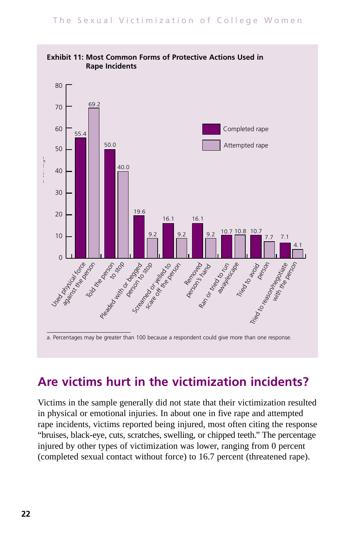

## **Exhibit 11: Most Common Forms of Protective Actions Used in**

### **Are victims hurt in the victimization incidents?**

Victims in the sample generally did not state that their victimization resulted in physical or emotional injuries. In about one in five rape and attempted rape incidents, victims reported being injured, most often citing the response "bruises, black-eye, cuts, scratches, swelling, or chipped teeth." The percentage injured by other types of victimization was lower, ranging from 0 percent (completed sexual contact without force) to 16.7 percent (threatened rape).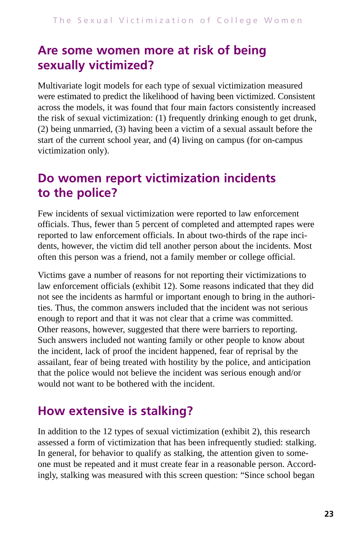#### **Are some women more at risk of being sexually victimized?**

Multivariate logit models for each type of sexual victimization measured were estimated to predict the likelihood of having been victimized. Consistent across the models, it was found that four main factors consistently increased the risk of sexual victimization: (1) frequently drinking enough to get drunk, (2) being unmarried, (3) having been a victim of a sexual assault before the start of the current school year, and (4) living on campus (for on-campus victimization only).

### **Do women report victimization incidents to the police?**

Few incidents of sexual victimization were reported to law enforcement officials. Thus, fewer than 5 percent of completed and attempted rapes were reported to law enforcement officials. In about two-thirds of the rape incidents, however, the victim did tell another person about the incidents. Most often this person was a friend, not a family member or college official.

Victims gave a number of reasons for not reporting their victimizations to law enforcement officials (exhibit 12). Some reasons indicated that they did not see the incidents as harmful or important enough to bring in the authorities. Thus, the common answers included that the incident was not serious enough to report and that it was not clear that a crime was committed. Other reasons, however, suggested that there were barriers to reporting. Such answers included not wanting family or other people to know about the incident, lack of proof the incident happened, fear of reprisal by the assailant, fear of being treated with hostility by the police, and anticipation that the police would not believe the incident was serious enough and/or would not want to be bothered with the incident.

### **How extensive is stalking?**

In addition to the 12 types of sexual victimization (exhibit 2), this research assessed a form of victimization that has been infrequently studied: stalking. In general, for behavior to qualify as stalking, the attention given to someone must be repeated and it must create fear in a reasonable person. Accordingly, stalking was measured with this screen question: "Since school began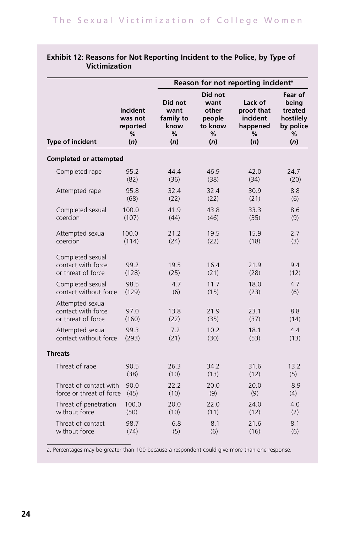|                                                              |                                             | Reason for not reporting incident <sup>a</sup>   |                                                              |                                                           |                                                                   |
|--------------------------------------------------------------|---------------------------------------------|--------------------------------------------------|--------------------------------------------------------------|-----------------------------------------------------------|-------------------------------------------------------------------|
| Type of incident                                             | Incident<br>was not<br>reported<br>%<br>(n) | Did not<br>want<br>family to<br>know<br>%<br>(n) | Did not<br>want<br>other<br>people<br>to know<br>$\%$<br>(n) | Lack of<br>proof that<br>incident<br>happened<br>%<br>(n) | Fear of<br>being<br>treated<br>hostilely<br>by police<br>%<br>(n) |
| <b>Completed or attempted</b>                                |                                             |                                                  |                                                              |                                                           |                                                                   |
| Completed rape                                               | 95.2                                        | 44.4                                             | 46.9                                                         | 42.0                                                      | 24.7                                                              |
|                                                              | (82)                                        | (36)                                             | (38)                                                         | (34)                                                      | (20)                                                              |
| Attempted rape                                               | 95.8                                        | 32.4                                             | 32.4                                                         | 30.9                                                      | 8.8                                                               |
|                                                              | (68)                                        | (22)                                             | (22)                                                         | (21)                                                      | (6)                                                               |
| Completed sexual                                             | 100.0                                       | 41.9                                             | 43.8                                                         | 33.3                                                      | 8.6                                                               |
| coercion                                                     | (107)                                       | (44)                                             | (46)                                                         | (35)                                                      | (9)                                                               |
| Attempted sexual                                             | 100.0                                       | 21.2                                             | 19.5                                                         | 15.9                                                      | 2.7                                                               |
| coercion                                                     | (114)                                       | (24)                                             | (22)                                                         | (18)                                                      | (3)                                                               |
| Completed sexual<br>contact with force<br>or threat of force | 99.2<br>(128)                               | 19.5<br>(25)                                     | 16.4<br>(21)                                                 | 21.9<br>(28)                                              | 9.4<br>(12)                                                       |
| Completed sexual                                             | 98.5                                        | 4.7                                              | 11.7                                                         | 18.0                                                      | 4.7                                                               |
| contact without force                                        | (129)                                       | (6)                                              | (15)                                                         | (23)                                                      | (6)                                                               |
| Attempted sexual<br>contact with force<br>or threat of force | 97.0<br>(160)                               | 13.8<br>(22)                                     | 21.9<br>(35)                                                 | 23.1<br>(37)                                              | 8.8<br>(14)                                                       |
| Attempted sexual                                             | 99.3                                        | 7.2                                              | 10.2                                                         | 18.1                                                      | 4.4                                                               |
| contact without force                                        | (293)                                       | (21)                                             | (30)                                                         | (53)                                                      | (13)                                                              |
| <b>Threats</b>                                               |                                             |                                                  |                                                              |                                                           |                                                                   |
| Threat of rape                                               | 90.5                                        | 26.3                                             | 34.2                                                         | 31.6                                                      | 13.2                                                              |
|                                                              | (38)                                        | (10)                                             | (13)                                                         | (12)                                                      | (5)                                                               |
| Threat of contact with                                       | 90.0                                        | 22.2                                             | 20.0                                                         | 20.0                                                      | 8.9                                                               |
| force or threat of force                                     | (45)                                        | (10)                                             | (9)                                                          | (9)                                                       | (4)                                                               |
| Threat of penetration                                        | 100.0                                       | 20.0                                             | 22.0                                                         | 24.0                                                      | 4.0                                                               |
| without force                                                | (50)                                        | (10)                                             | (11)                                                         | (12)                                                      | (2)                                                               |
| Threat of contact                                            | 98.7                                        | 6.8                                              | 8.1                                                          | 21.6                                                      | 8.1                                                               |
| without force                                                | (74)                                        | (5)                                              | (6)                                                          | (16)                                                      | (6)                                                               |

#### **Exhibit 12: Reasons for Not Reporting Incident to the Police, by Type of Victimization**

a. Percentages may be greater than 100 because a respondent could give more than one response.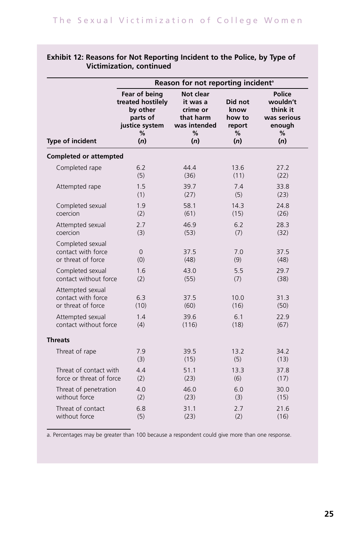|                                                              | Reason for not reporting incident <sup>a</sup>                                              |                                                                            |                                                 |                                                                            |
|--------------------------------------------------------------|---------------------------------------------------------------------------------------------|----------------------------------------------------------------------------|-------------------------------------------------|----------------------------------------------------------------------------|
| <b>Type of incident</b>                                      | Fear of being<br>treated hostilely<br>by other<br>parts of<br>justice system<br>$\%$<br>(n) | Not clear<br>it was a<br>crime or<br>that harm<br>was intended<br>%<br>(n) | Did not<br>know<br>how to<br>report<br>%<br>(n) | <b>Police</b><br>wouldn't<br>think it<br>was serious<br>enough<br>%<br>(n) |
| <b>Completed or attempted</b>                                |                                                                                             |                                                                            |                                                 |                                                                            |
| Completed rape                                               | 6.2                                                                                         | 44.4                                                                       | 13.6                                            | 27.2                                                                       |
|                                                              | (5)                                                                                         | (36)                                                                       | (11)                                            | (22)                                                                       |
| Attempted rape                                               | 1.5                                                                                         | 39.7                                                                       | 7.4                                             | 33.8                                                                       |
|                                                              | (1)                                                                                         | (27)                                                                       | (5)                                             | (23)                                                                       |
| Completed sexual                                             | 1.9                                                                                         | 58.1                                                                       | 14.3                                            | 24.8                                                                       |
| coercion                                                     | (2)                                                                                         | (61)                                                                       | (15)                                            | (26)                                                                       |
| Attempted sexual                                             | 2.7                                                                                         | 46.9                                                                       | 6.2                                             | 28.3                                                                       |
| coercion                                                     | (3)                                                                                         | (53)                                                                       | (7)                                             | (32)                                                                       |
| Completed sexual<br>contact with force<br>or threat of force | $\overline{0}$<br>(0)                                                                       | 37.5<br>(48)                                                               | 7.0<br>(9)                                      | 37.5<br>(48)                                                               |
| Completed sexual                                             | 1.6                                                                                         | 43.0                                                                       | 5.5                                             | 29.7                                                                       |
| contact without force                                        | (2)                                                                                         | (55)                                                                       | (7)                                             | (38)                                                                       |
| Attempted sexual<br>contact with force<br>or threat of force | 6.3<br>(10)                                                                                 | 37.5<br>(60)                                                               | 10.0<br>(16)                                    | 31.3<br>(50)                                                               |
| Attempted sexual                                             | 1.4                                                                                         | 39.6                                                                       | 6.1                                             | 22.9                                                                       |
| contact without force                                        | (4)                                                                                         | (116)                                                                      | (18)                                            | (67)                                                                       |
| <b>Threats</b>                                               |                                                                                             |                                                                            |                                                 |                                                                            |
| Threat of rape                                               | 7.9                                                                                         | 39.5                                                                       | 13.2                                            | 34.2                                                                       |
|                                                              | (3)                                                                                         | (15)                                                                       | (5)                                             | (13)                                                                       |
| Threat of contact with                                       | 4.4                                                                                         | 51.1                                                                       | 13.3                                            | 37.8                                                                       |
| force or threat of force                                     | (2)                                                                                         | (23)                                                                       | (6)                                             | (17)                                                                       |
| Threat of penetration                                        | 4.0                                                                                         | 46.0                                                                       | 6.0                                             | 30.0                                                                       |
| without force                                                | (2)                                                                                         | (23)                                                                       | (3)                                             | (15)                                                                       |
| Threat of contact                                            | 6.8                                                                                         | 31.1                                                                       | 2.7                                             | 21.6                                                                       |
| without force                                                | (5)                                                                                         | (23)                                                                       | (2)                                             | (16)                                                                       |

#### **Exhibit 12: Reasons for Not Reporting Incident to the Police, by Type of Victimization, continued**

a. Percentages may be greater than 100 because a respondent could give more than one response.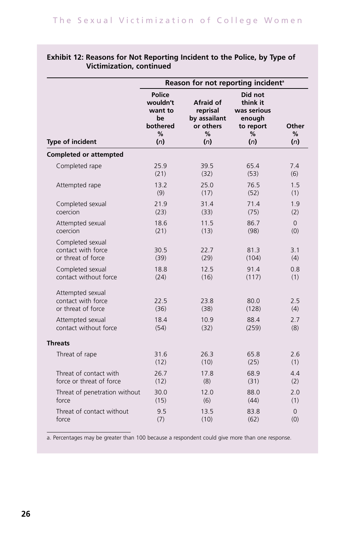|                                                              | Reason for not reporting incident <sup>a</sup>                     |                                                                |                                                                       |                   |
|--------------------------------------------------------------|--------------------------------------------------------------------|----------------------------------------------------------------|-----------------------------------------------------------------------|-------------------|
| Type of incident                                             | <b>Police</b><br>wouldn't<br>want to<br>be<br>bothered<br>%<br>(n) | Afraid of<br>reprisal<br>by assailant<br>or others<br>%<br>(n) | Did not<br>think it<br>was serious<br>enough<br>to report<br>%<br>(n) | Other<br>%<br>(n) |
| <b>Completed or attempted</b>                                |                                                                    |                                                                |                                                                       |                   |
| Completed rape                                               | 25.9                                                               | 39.5                                                           | 65.4                                                                  | 7.4               |
|                                                              | (21)                                                               | (32)                                                           | (53)                                                                  | (6)               |
| Attempted rape                                               | 13.2                                                               | 25.0                                                           | 76.5                                                                  | 1.5               |
|                                                              | (9)                                                                | (17)                                                           | (52)                                                                  | (1)               |
| Completed sexual                                             | 21.9                                                               | 31.4                                                           | 71.4                                                                  | 1.9               |
| coercion                                                     | (23)                                                               | (33)                                                           | (75)                                                                  | (2)               |
| Attempted sexual                                             | 18.6                                                               | 11.5                                                           | 86.7                                                                  | $\Omega$          |
| coercion                                                     | (21)                                                               | (13)                                                           | (98)                                                                  | (0)               |
| Completed sexual<br>contact with force<br>or threat of force | 30.5<br>(39)                                                       | 22.7<br>(29)                                                   | 81.3<br>(104)                                                         | 3.1<br>(4)        |
| Completed sexual                                             | 18.8                                                               | 12.5                                                           | 91.4                                                                  | 0.8               |
| contact without force                                        | (24)                                                               | (16)                                                           | (117)                                                                 | (1)               |
| Attempted sexual<br>contact with force<br>or threat of force | 22.5<br>(36)                                                       | 23.8<br>(38)                                                   | 80.0<br>(128)                                                         | 2.5<br>(4)        |
| Attempted sexual                                             | 18.4                                                               | 10.9                                                           | 88.4                                                                  | 2.7               |
| contact without force                                        | (54)                                                               | (32)                                                           | (259)                                                                 | (8)               |
| <b>Threats</b>                                               |                                                                    |                                                                |                                                                       |                   |
| Threat of rape                                               | 31.6                                                               | 26.3                                                           | 65.8                                                                  | 2.6               |
|                                                              | (12)                                                               | (10)                                                           | (25)                                                                  | (1)               |
| Threat of contact with                                       | 26.7                                                               | 17.8                                                           | 68.9                                                                  | 4.4               |
| force or threat of force                                     | (12)                                                               | (8)                                                            | (31)                                                                  | (2)               |
| Threat of penetration without                                | 30.0                                                               | 12.0                                                           | 88.0                                                                  | 2.0               |
| force                                                        | (15)                                                               | (6)                                                            | (44)                                                                  | (1)               |
| Threat of contact without                                    | 9.5                                                                | 13.5                                                           | 83.8                                                                  | $\overline{0}$    |
| force                                                        | (7)                                                                | (10)                                                           | (62)                                                                  | (0)               |

#### **Exhibit 12: Reasons for Not Reporting Incident to the Police, by Type of Victimization, continued**

a. Percentages may be greater than 100 because a respondent could give more than one response.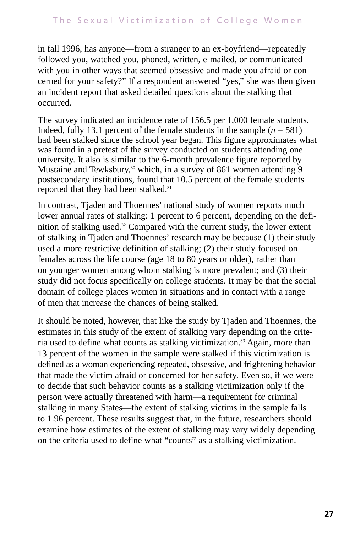in fall 1996, has anyone—from a stranger to an ex-boyfriend—repeatedly followed you, watched you, phoned, written, e-mailed, or communicated with you in other ways that seemed obsessive and made you afraid or concerned for your safety?" If a respondent answered "yes," she was then given an incident report that asked detailed questions about the stalking that occurred.

The survey indicated an incidence rate of 156.5 per 1,000 female students. Indeed, fully 13.1 percent of the female students in the sample  $(n = 581)$ had been stalked since the school year began. This figure approximates what was found in a pretest of the survey conducted on students attending one university. It also is similar to the 6-month prevalence figure reported by Mustaine and Tewksbury,<sup>30</sup> which, in a survey of 861 women attending 9 postsecondary institutions, found that 10.5 percent of the female students reported that they had been stalked.<sup>31</sup>

In contrast, Tjaden and Thoennes' national study of women reports much lower annual rates of stalking: 1 percent to 6 percent, depending on the definition of stalking used.32 Compared with the current study, the lower extent of stalking in Tjaden and Thoennes' research may be because (1) their study used a more restrictive definition of stalking; (2) their study focused on females across the life course (age 18 to 80 years or older), rather than on younger women among whom stalking is more prevalent; and (3) their study did not focus specifically on college students. It may be that the social domain of college places women in situations and in contact with a range of men that increase the chances of being stalked.

It should be noted, however, that like the study by Tjaden and Thoennes, the estimates in this study of the extent of stalking vary depending on the criteria used to define what counts as stalking victimization.<sup>33</sup> Again, more than 13 percent of the women in the sample were stalked if this victimization is defined as a woman experiencing repeated, obsessive, and frightening behavior that made the victim afraid or concerned for her safety. Even so, if we were to decide that such behavior counts as a stalking victimization only if the person were actually threatened with harm—a requirement for criminal stalking in many States—the extent of stalking victims in the sample falls to 1.96 percent. These results suggest that, in the future, researchers should examine how estimates of the extent of stalking may vary widely depending on the criteria used to define what "counts" as a stalking victimization.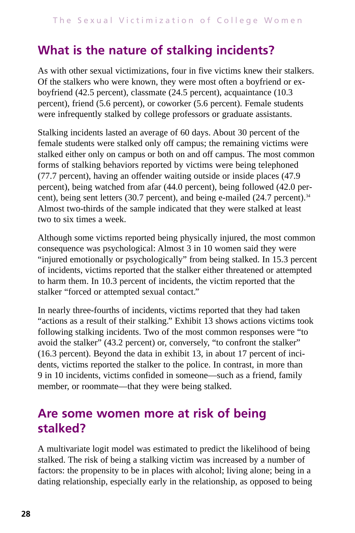### **What is the nature of stalking incidents?**

As with other sexual victimizations, four in five victims knew their stalkers. Of the stalkers who were known, they were most often a boyfriend or exboyfriend (42.5 percent), classmate (24.5 percent), acquaintance (10.3 percent), friend (5.6 percent), or coworker (5.6 percent). Female students were infrequently stalked by college professors or graduate assistants.

Stalking incidents lasted an average of 60 days. About 30 percent of the female students were stalked only off campus; the remaining victims were stalked either only on campus or both on and off campus. The most common forms of stalking behaviors reported by victims were being telephoned (77.7 percent), having an offender waiting outside or inside places (47.9 percent), being watched from afar (44.0 percent), being followed (42.0 percent), being sent letters (30.7 percent), and being e-mailed (24.7 percent).<sup>34</sup> Almost two-thirds of the sample indicated that they were stalked at least two to six times a week.

Although some victims reported being physically injured, the most common consequence was psychological: Almost 3 in 10 women said they were "injured emotionally or psychologically" from being stalked. In 15.3 percent of incidents, victims reported that the stalker either threatened or attempted to harm them. In 10.3 percent of incidents, the victim reported that the stalker "forced or attempted sexual contact."

In nearly three-fourths of incidents, victims reported that they had taken "actions as a result of their stalking." Exhibit 13 shows actions victims took following stalking incidents. Two of the most common responses were "to avoid the stalker" (43.2 percent) or, conversely, "to confront the stalker" (16.3 percent). Beyond the data in exhibit 13, in about 17 percent of incidents, victims reported the stalker to the police. In contrast, in more than 9 in 10 incidents, victims confided in someone—such as a friend, family member, or roommate—that they were being stalked.

#### **Are some women more at risk of being stalked?**

A multivariate logit model was estimated to predict the likelihood of being stalked. The risk of being a stalking victim was increased by a number of factors: the propensity to be in places with alcohol; living alone; being in a dating relationship, especially early in the relationship, as opposed to being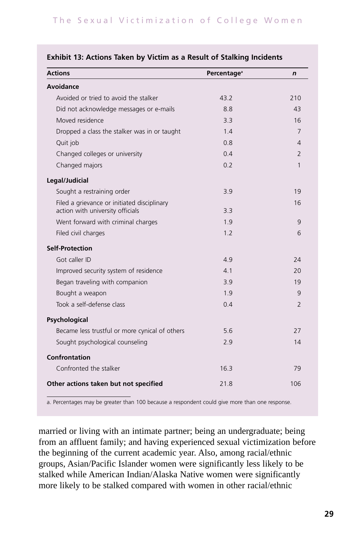| <b>Actions</b>                                                                  | Percentage <sup>a</sup> | $\mathbf n$    |
|---------------------------------------------------------------------------------|-------------------------|----------------|
| Avoidance                                                                       |                         |                |
| Avoided or tried to avoid the stalker                                           | 43.2                    | 210            |
| Did not acknowledge messages or e-mails                                         | 8.8                     | 43             |
| Moved residence                                                                 | 3.3                     | 16             |
| Dropped a class the stalker was in or taught                                    | 1.4                     | 7              |
| Quit job                                                                        | 0.8                     | 4              |
| Changed colleges or university                                                  | 0.4                     | 2              |
| Changed majors                                                                  | 0.2                     | 1              |
| Legal/Judicial                                                                  |                         |                |
| Sought a restraining order                                                      | 3.9                     | 19             |
| Filed a grievance or initiated disciplinary<br>action with university officials | 3.3                     | 16             |
| Went forward with criminal charges                                              | 1.9                     | 9              |
| Filed civil charges                                                             | 1.2                     | 6              |
| Self-Protection                                                                 |                         |                |
| Got caller ID                                                                   | 4.9                     | 24             |
| Improved security system of residence                                           | 4.1                     | 20             |
| Began traveling with companion                                                  | 3.9                     | 19             |
| Bought a weapon                                                                 | 1.9                     | 9              |
| Took a self-defense class                                                       | 0.4                     | $\overline{2}$ |
| Psychological                                                                   |                         |                |
| Became less trustful or more cynical of others                                  | 5.6                     | 27             |
| Sought psychological counseling                                                 | 2.9                     | 14             |
| Confrontation                                                                   |                         |                |
| Confronted the stalker                                                          | 16.3                    | 79             |
| Other actions taken but not specified                                           | 21.8                    | 106            |

#### **Exhibit 13: Actions Taken by Victim as a Result of Stalking Incidents**

a. Percentages may be greater than 100 because a respondent could give more than one response.

married or living with an intimate partner; being an undergraduate; being from an affluent family; and having experienced sexual victimization before the beginning of the current academic year. Also, among racial/ethnic groups, Asian/Pacific Islander women were significantly less likely to be stalked while American Indian/Alaska Native women were significantly more likely to be stalked compared with women in other racial/ethnic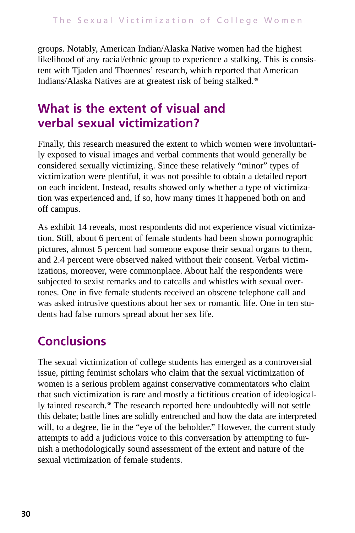groups. Notably, American Indian/Alaska Native women had the highest likelihood of any racial/ethnic group to experience a stalking. This is consistent with Tjaden and Thoennes' research, which reported that American Indians/Alaska Natives are at greatest risk of being stalked.35

### **What is the extent of visual and verbal sexual victimization?**

Finally, this research measured the extent to which women were involuntarily exposed to visual images and verbal comments that would generally be considered sexually victimizing. Since these relatively "minor" types of victimization were plentiful, it was not possible to obtain a detailed report on each incident. Instead, results showed only whether a type of victimization was experienced and, if so, how many times it happened both on and off campus.

As exhibit 14 reveals, most respondents did not experience visual victimization. Still, about 6 percent of female students had been shown pornographic pictures, almost 5 percent had someone expose their sexual organs to them, and 2.4 percent were observed naked without their consent. Verbal victimizations, moreover, were commonplace. About half the respondents were subjected to sexist remarks and to catcalls and whistles with sexual overtones. One in five female students received an obscene telephone call and was asked intrusive questions about her sex or romantic life. One in ten students had false rumors spread about her sex life.

### **Conclusions**

The sexual victimization of college students has emerged as a controversial issue, pitting feminist scholars who claim that the sexual victimization of women is a serious problem against conservative commentators who claim that such victimization is rare and mostly a fictitious creation of ideologically tainted research.<sup>36</sup> The research reported here undoubtedly will not settle this debate; battle lines are solidly entrenched and how the data are interpreted will, to a degree, lie in the "eye of the beholder." However, the current study attempts to add a judicious voice to this conversation by attempting to furnish a methodologically sound assessment of the extent and nature of the sexual victimization of female students.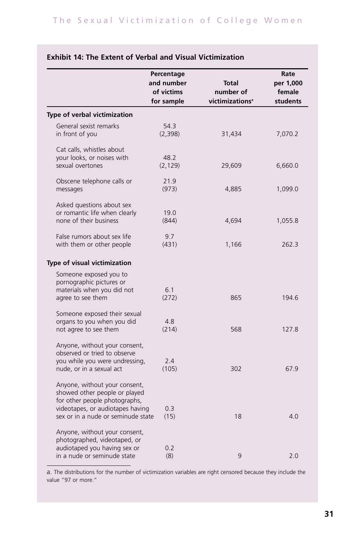|                                                                                                                                                                           | Percentage<br>and number<br>of victims<br>for sample | Total<br>number of<br><b>victimizations</b> <sup>a</sup> | Rate<br>per 1,000<br>female<br>students |
|---------------------------------------------------------------------------------------------------------------------------------------------------------------------------|------------------------------------------------------|----------------------------------------------------------|-----------------------------------------|
| <b>Type of verbal victimization</b>                                                                                                                                       |                                                      |                                                          |                                         |
| General sexist remarks<br>in front of you                                                                                                                                 | 54.3<br>(2,398)                                      | 31,434                                                   | 7,070.2                                 |
| Cat calls, whistles about<br>your looks, or noises with<br>sexual overtones                                                                                               | 48.2<br>(2, 129)                                     | 29,609                                                   | 6,660.0                                 |
| Obscene telephone calls or<br>messages                                                                                                                                    | 21.9<br>(973)                                        | 4,885                                                    | 1,099.0                                 |
| Asked questions about sex<br>or romantic life when clearly<br>none of their business                                                                                      | 19.0<br>(844)                                        | 4,694                                                    | 1,055.8                                 |
| False rumors about sex life<br>with them or other people                                                                                                                  | 9.7<br>(431)                                         | 1,166                                                    | 262.3                                   |
| Type of visual victimization                                                                                                                                              |                                                      |                                                          |                                         |
| Someone exposed you to<br>pornographic pictures or<br>materials when you did not<br>agree to see them                                                                     | 6.1<br>(272)                                         | 865                                                      | 194.6                                   |
| Someone exposed their sexual<br>organs to you when you did<br>not agree to see them                                                                                       | 4.8<br>(214)                                         | 568                                                      | 127.8                                   |
| Anyone, without your consent,<br>observed or tried to observe<br>you while you were undressing,<br>nude, or in a sexual act                                               | 2.4<br>(105)                                         | 302                                                      | 67.9                                    |
| Anyone, without your consent,<br>showed other people or played<br>for other people photographs,<br>videotapes, or audiotapes having<br>sex or in a nude or seminude state | 0.3<br>(15)                                          | 18                                                       | 4.0                                     |
| Anyone, without your consent,<br>photographed, videotaped, or<br>audiotaped you having sex or<br>in a nude or seminude state                                              | 0.2<br>(8)                                           | 9                                                        | 2.0                                     |

#### **Exhibit 14: The Extent of Verbal and Visual Victimization**

a. The distributions for the number of victimization variables are right censored because they include the value "97 or more."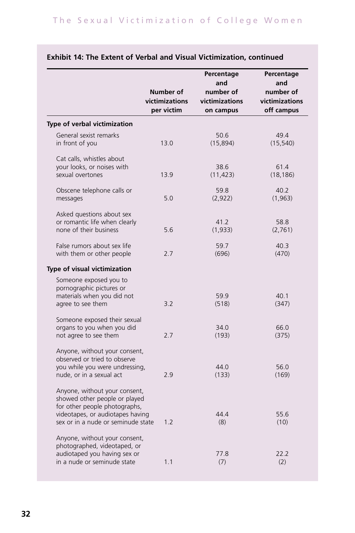|                                                                                                                                                                           |                | Percentage        | Percentage        |
|---------------------------------------------------------------------------------------------------------------------------------------------------------------------------|----------------|-------------------|-------------------|
|                                                                                                                                                                           |                | and               | and               |
|                                                                                                                                                                           | Number of      | number of         | number of         |
|                                                                                                                                                                           | victimizations | victimizations    | victimizations    |
|                                                                                                                                                                           | per victim     | on campus         | off campus        |
| Type of verbal victimization                                                                                                                                              |                |                   |                   |
| General sexist remarks<br>in front of you                                                                                                                                 | 13.0           | 50.6<br>(15, 894) | 49.4<br>(15, 540) |
| Cat calls, whistles about<br>your looks, or noises with<br>sexual overtones                                                                                               | 13.9           | 38.6<br>(11, 423) | 61.4<br>(18, 186) |
| Obscene telephone calls or<br>messages                                                                                                                                    | 5.0            | 59.8<br>(2,922)   | 40.2<br>(1, 963)  |
| Asked questions about sex<br>or romantic life when clearly<br>none of their business                                                                                      | 5.6            | 41.2<br>(1,933)   | 58.8<br>(2,761)   |
| False rumors about sex life<br>with them or other people                                                                                                                  | 2.7            | 59.7<br>(696)     | 40.3<br>(470)     |
| Type of visual victimization                                                                                                                                              |                |                   |                   |
| Someone exposed you to<br>pornographic pictures or<br>materials when you did not<br>agree to see them                                                                     | 3.2            | 59.9<br>(518)     | 40.1<br>(347)     |
| Someone exposed their sexual<br>organs to you when you did<br>not agree to see them                                                                                       | 2.7            | 34.0<br>(193)     | 66.0<br>(375)     |
| Anyone, without your consent,<br>observed or tried to observe<br>you while you were undressing,<br>nude, or in a sexual act                                               | 2.9            | 44.0<br>(133)     | 56.0<br>(169)     |
| Anyone, without your consent,<br>showed other people or played<br>for other people photographs,<br>videotapes, or audiotapes having<br>sex or in a nude or seminude state | 1.2            | 44.4<br>(8)       | 55.6<br>(10)      |
| Anyone, without your consent,<br>photographed, videotaped, or<br>audiotaped you having sex or<br>in a nude or seminude state                                              | 1.1            | 77.8<br>(7)       | 22.2<br>(2)       |

#### **Exhibit 14: The Extent of Verbal and Visual Victimization, continued**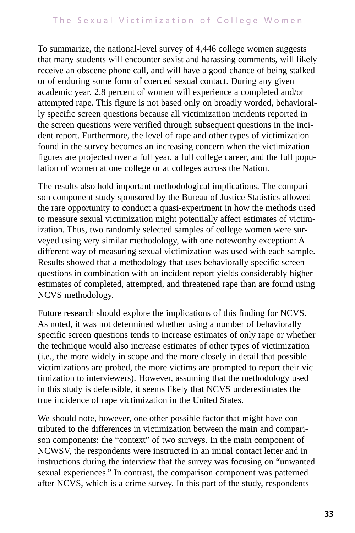To summarize, the national-level survey of 4,446 college women suggests that many students will encounter sexist and harassing comments, will likely receive an obscene phone call, and will have a good chance of being stalked or of enduring some form of coerced sexual contact. During any given academic year, 2.8 percent of women will experience a completed and/or attempted rape. This figure is not based only on broadly worded, behaviorally specific screen questions because all victimization incidents reported in the screen questions were verified through subsequent questions in the incident report. Furthermore, the level of rape and other types of victimization found in the survey becomes an increasing concern when the victimization figures are projected over a full year, a full college career, and the full population of women at one college or at colleges across the Nation.

The results also hold important methodological implications. The comparison component study sponsored by the Bureau of Justice Statistics allowed the rare opportunity to conduct a quasi-experiment in how the methods used to measure sexual victimization might potentially affect estimates of victimization. Thus, two randomly selected samples of college women were surveyed using very similar methodology, with one noteworthy exception: A different way of measuring sexual victimization was used with each sample. Results showed that a methodology that uses behaviorally specific screen questions in combination with an incident report yields considerably higher estimates of completed, attempted, and threatened rape than are found using NCVS methodology.

Future research should explore the implications of this finding for NCVS. As noted, it was not determined whether using a number of behaviorally specific screen questions tends to increase estimates of only rape or whether the technique would also increase estimates of other types of victimization (i.e., the more widely in scope and the more closely in detail that possible victimizations are probed, the more victims are prompted to report their victimization to interviewers). However, assuming that the methodology used in this study is defensible, it seems likely that NCVS underestimates the true incidence of rape victimization in the United States.

We should note, however, one other possible factor that might have contributed to the differences in victimization between the main and comparison components: the "context" of two surveys. In the main component of NCWSV, the respondents were instructed in an initial contact letter and in instructions during the interview that the survey was focusing on "unwanted sexual experiences." In contrast, the comparison component was patterned after NCVS, which is a crime survey. In this part of the study, respondents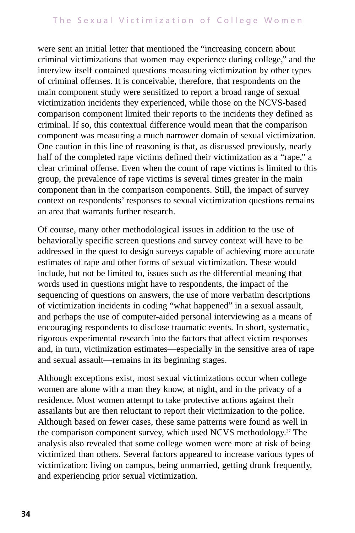were sent an initial letter that mentioned the "increasing concern about criminal victimizations that women may experience during college," and the interview itself contained questions measuring victimization by other types of criminal offenses. It is conceivable, therefore, that respondents on the main component study were sensitized to report a broad range of sexual victimization incidents they experienced, while those on the NCVS-based comparison component limited their reports to the incidents they defined as criminal. If so, this contextual difference would mean that the comparison component was measuring a much narrower domain of sexual victimization. One caution in this line of reasoning is that, as discussed previously, nearly half of the completed rape victims defined their victimization as a "rape," a clear criminal offense. Even when the count of rape victims is limited to this group, the prevalence of rape victims is several times greater in the main component than in the comparison components. Still, the impact of survey context on respondents' responses to sexual victimization questions remains an area that warrants further research.

Of course, many other methodological issues in addition to the use of behaviorally specific screen questions and survey context will have to be addressed in the quest to design surveys capable of achieving more accurate estimates of rape and other forms of sexual victimization. These would include, but not be limited to, issues such as the differential meaning that words used in questions might have to respondents, the impact of the sequencing of questions on answers, the use of more verbatim descriptions of victimization incidents in coding "what happened" in a sexual assault, and perhaps the use of computer-aided personal interviewing as a means of encouraging respondents to disclose traumatic events. In short, systematic, rigorous experimental research into the factors that affect victim responses and, in turn, victimization estimates—especially in the sensitive area of rape and sexual assault—remains in its beginning stages.

Although exceptions exist, most sexual victimizations occur when college women are alone with a man they know, at night, and in the privacy of a residence. Most women attempt to take protective actions against their assailants but are then reluctant to report their victimization to the police. Although based on fewer cases, these same patterns were found as well in the comparison component survey, which used NCVS methodology.37 The analysis also revealed that some college women were more at risk of being victimized than others. Several factors appeared to increase various types of victimization: living on campus, being unmarried, getting drunk frequently, and experiencing prior sexual victimization.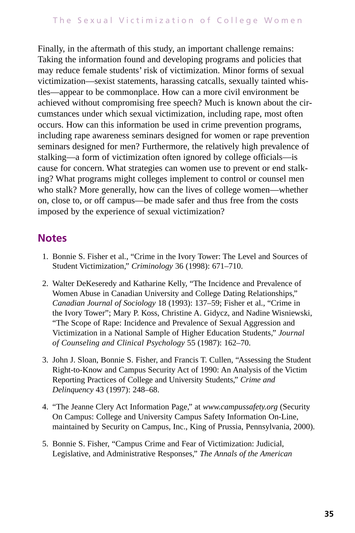Finally, in the aftermath of this study, an important challenge remains: Taking the information found and developing programs and policies that may reduce female students' risk of victimization. Minor forms of sexual victimization—sexist statements, harassing catcalls, sexually tainted whistles—appear to be commonplace. How can a more civil environment be achieved without compromising free speech? Much is known about the circumstances under which sexual victimization, including rape, most often occurs. How can this information be used in crime prevention programs, including rape awareness seminars designed for women or rape prevention seminars designed for men? Furthermore, the relatively high prevalence of stalking—a form of victimization often ignored by college officials—is cause for concern. What strategies can women use to prevent or end stalking? What programs might colleges implement to control or counsel men who stalk? More generally, how can the lives of college women—whether on, close to, or off campus—be made safer and thus free from the costs imposed by the experience of sexual victimization?

#### **Notes**

- 1. Bonnie S. Fisher et al., "Crime in the Ivory Tower: The Level and Sources of Student Victimization," *Criminology* 36 (1998): 671–710.
- 2. Walter DeKeseredy and Katharine Kelly, "The Incidence and Prevalence of Women Abuse in Canadian University and College Dating Relationships," *Canadian Journal of Sociology* 18 (1993): 137–59; Fisher et al., "Crime in the Ivory Tower"; Mary P. Koss, Christine A. Gidycz, and Nadine Wisniewski, "The Scope of Rape: Incidence and Prevalence of Sexual Aggression and Victimization in a National Sample of Higher Education Students," *Journal of Counseling and Clinical Psychology* 55 (1987): 162–70.
- 3. John J. Sloan, Bonnie S. Fisher, and Francis T. Cullen, "Assessing the Student Right-to-Know and Campus Security Act of 1990: An Analysis of the Victim Reporting Practices of College and University Students," *Crime and Delinquency* 43 (1997): 248–68.
- 4. "The Jeanne Clery Act Information Page," at *www.campussafety.org* (Security On Campus: College and University Campus Safety Information On-Line, maintained by Security on Campus, Inc., King of Prussia, Pennsylvania, 2000).
- 5. Bonnie S. Fisher, "Campus Crime and Fear of Victimization: Judicial, Legislative, and Administrative Responses," *The Annals of the American*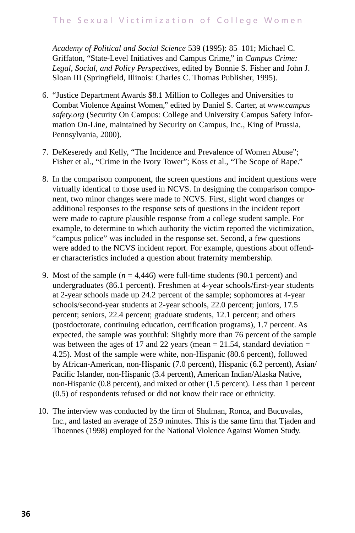*Academy of Political and Social Science* 539 (1995): 85–101; Michael C. Griffaton, "State-Level Initiatives and Campus Crime," in *Campus Crime: Legal, Social, and Policy Perspectives*, edited by Bonnie S. Fisher and John J. Sloan III (Springfield, Illinois: Charles C. Thomas Publisher, 1995).

- 6. "Justice Department Awards \$8.1 Million to Colleges and Universities to Combat Violence Against Women," edited by Daniel S. Carter, at *www.campus safety.org* (Security On Campus: College and University Campus Safety Information On-Line, maintained by Security on Campus, Inc., King of Prussia, Pennsylvania, 2000).
- 7. DeKeseredy and Kelly, "The Incidence and Prevalence of Women Abuse"; Fisher et al., "Crime in the Ivory Tower"; Koss et al., "The Scope of Rape."
- 8. In the comparison component, the screen questions and incident questions were virtually identical to those used in NCVS. In designing the comparison component, two minor changes were made to NCVS. First, slight word changes or additional responses to the response sets of questions in the incident report were made to capture plausible response from a college student sample. For example, to determine to which authority the victim reported the victimization, "campus police" was included in the response set. Second, a few questions were added to the NCVS incident report. For example, questions about offender characteristics included a question about fraternity membership.
- 9. Most of the sample  $(n = 4,446)$  were full-time students (90.1 percent) and undergraduates (86.1 percent). Freshmen at 4-year schools/first-year students at 2-year schools made up 24.2 percent of the sample; sophomores at 4-year schools/second-year students at 2-year schools, 22.0 percent; juniors, 17.5 percent; seniors, 22.4 percent; graduate students, 12.1 percent; and others (postdoctorate, continuing education, certification programs), 1.7 percent. As expected, the sample was youthful: Slightly more than 76 percent of the sample was between the ages of 17 and 22 years (mean  $= 21.54$ , standard deviation  $=$ 4.25). Most of the sample were white, non-Hispanic (80.6 percent), followed by African-American, non-Hispanic (7.0 percent), Hispanic (6.2 percent), Asian/ Pacific Islander, non-Hispanic (3.4 percent), American Indian/Alaska Native, non-Hispanic (0.8 percent), and mixed or other (1.5 percent). Less than 1 percent (0.5) of respondents refused or did not know their race or ethnicity.
- 10. The interview was conducted by the firm of Shulman, Ronca, and Bucuvalas, Inc., and lasted an average of 25.9 minutes. This is the same firm that Tjaden and Thoennes (1998) employed for the National Violence Against Women Study.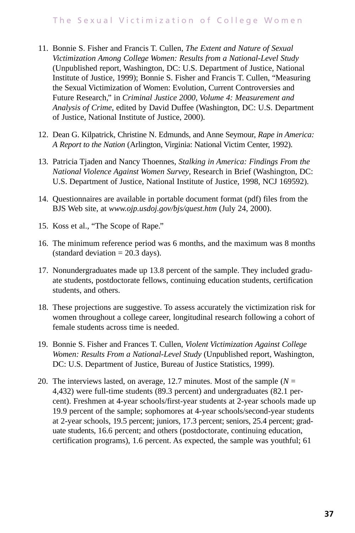- 11. Bonnie S. Fisher and Francis T. Cullen, *The Extent and Nature of Sexual Victimization Among College Women: Results from a National-Level Study* (Unpublished report, Washington, DC: U.S. Department of Justice, National Institute of Justice, 1999); Bonnie S. Fisher and Francis T. Cullen, "Measuring the Sexual Victimization of Women: Evolution, Current Controversies and Future Research," in *Criminal Justice 2000, Volume 4: Measurement and Analysis of Crime*, edited by David Duffee (Washington, DC: U.S. Department of Justice, National Institute of Justice, 2000).
- 12. Dean G. Kilpatrick, Christine N. Edmunds, and Anne Seymour, *Rape in America: A Report to the Nation* (Arlington, Virginia: National Victim Center, 1992).
- 13. Patricia Tjaden and Nancy Thoennes, *Stalking in America: Findings From the National Violence Against Women Survey*, Research in Brief (Washington, DC: U.S. Department of Justice, National Institute of Justice, 1998, NCJ 169592).
- 14. Questionnaires are available in portable document format (pdf) files from the BJS Web site, at *www.ojp.usdoj.gov/bjs/quest.htm* (July 24, 2000).
- 15. Koss et al., "The Scope of Rape."
- 16. The minimum reference period was 6 months, and the maximum was 8 months (standard deviation  $= 20.3$  days).
- 17. Nonundergraduates made up 13.8 percent of the sample. They included graduate students, postdoctorate fellows, continuing education students, certification students, and others.
- 18. These projections are suggestive. To assess accurately the victimization risk for women throughout a college career, longitudinal research following a cohort of female students across time is needed.
- 19. Bonnie S. Fisher and Frances T. Cullen, *Violent Victimization Against College Women: Results From a National-Level Study* (Unpublished report, Washington, DC: U.S. Department of Justice, Bureau of Justice Statistics, 1999).
- 20. The interviews lasted, on average, 12.7 minutes. Most of the sample (*N* = 4,432) were full-time students (89.3 percent) and undergraduates (82.1 percent). Freshmen at 4-year schools/first-year students at 2-year schools made up 19.9 percent of the sample; sophomores at 4-year schools/second-year students at 2-year schools, 19.5 percent; juniors, 17.3 percent; seniors, 25.4 percent; graduate students, 16.6 percent; and others (postdoctorate, continuing education, certification programs), 1.6 percent. As expected, the sample was youthful; 61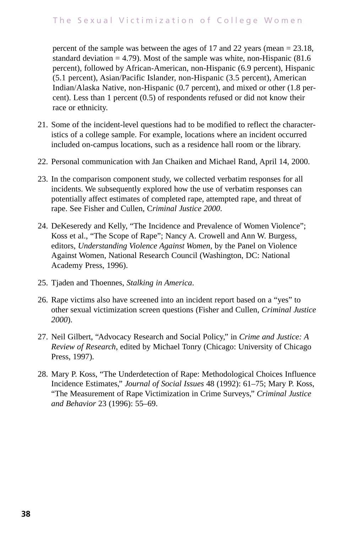percent of the sample was between the ages of 17 and 22 years (mean = 23.18, standard deviation  $= 4.79$ ). Most of the sample was white, non-Hispanic (81.6) percent), followed by African-American, non-Hispanic (6.9 percent), Hispanic (5.1 percent), Asian/Pacific Islander, non-Hispanic (3.5 percent), American Indian/Alaska Native, non-Hispanic (0.7 percent), and mixed or other (1.8 percent). Less than 1 percent (0.5) of respondents refused or did not know their race or ethnicity.

- 21. Some of the incident-level questions had to be modified to reflect the characteristics of a college sample. For example, locations where an incident occurred included on-campus locations, such as a residence hall room or the library.
- 22. Personal communication with Jan Chaiken and Michael Rand, April 14, 2000.
- 23. In the comparison component study, we collected verbatim responses for all incidents. We subsequently explored how the use of verbatim responses can potentially affect estimates of completed rape, attempted rape, and threat of rape. See Fisher and Cullen, C*riminal Justice 2000*.
- 24. DeKeseredy and Kelly, "The Incidence and Prevalence of Women Violence"; Koss et al., "The Scope of Rape"; Nancy A. Crowell and Ann W. Burgess, editors, *Understanding Violence Against Women,* by the Panel on Violence Against Women, National Research Council (Washington, DC: National Academy Press, 1996).
- 25. Tjaden and Thoennes, *Stalking in America*.
- 26. Rape victims also have screened into an incident report based on a "yes" to other sexual victimization screen questions (Fisher and Cullen, *Criminal Justice 2000*).
- 27. Neil Gilbert, "Advocacy Research and Social Policy," in *Crime and Justice: A Review of Research*, edited by Michael Tonry (Chicago: University of Chicago Press, 1997).
- 28. Mary P. Koss, "The Underdetection of Rape: Methodological Choices Influence Incidence Estimates," *Journal of Social Issues* 48 (1992): 61–75; Mary P. Koss, "The Measurement of Rape Victimization in Crime Surveys," *Criminal Justice and Behavior* 23 (1996): 55–69.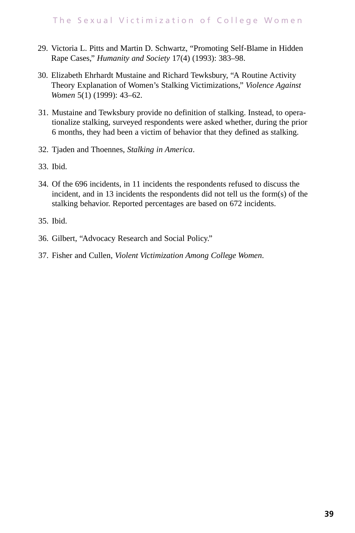- 29. Victoria L. Pitts and Martin D. Schwartz, "Promoting Self-Blame in Hidden Rape Cases," *Humanity and Society* 17(4) (1993): 383–98.
- 30. Elizabeth Ehrhardt Mustaine and Richard Tewksbury, "A Routine Activity Theory Explanation of Women's Stalking Victimizations," *Violence Against Women* 5(1) (1999): 43–62.
- 31. Mustaine and Tewksbury provide no definition of stalking. Instead, to operationalize stalking, surveyed respondents were asked whether, during the prior 6 months, they had been a victim of behavior that they defined as stalking.
- 32. Tjaden and Thoennes, *Stalking in America*.
- 33. Ibid.
- 34. Of the 696 incidents, in 11 incidents the respondents refused to discuss the incident, and in 13 incidents the respondents did not tell us the form(s) of the stalking behavior. Reported percentages are based on 672 incidents.
- 35. Ibid.
- 36. Gilbert, "Advocacy Research and Social Policy."
- 37. Fisher and Cullen, *Violent Victimization Among College Women*.